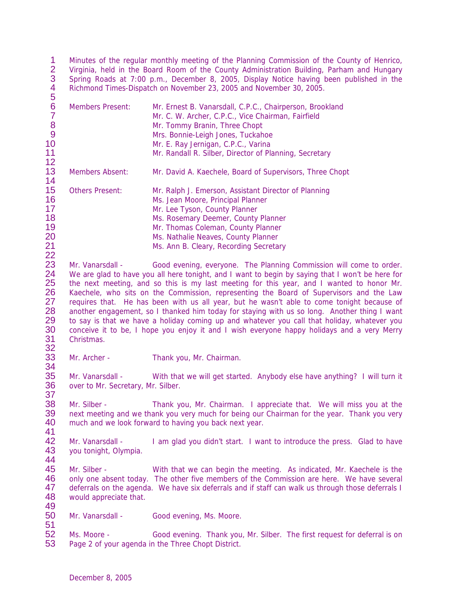1 Minutes of the regular monthly meeting of the Planning Commission of the County of Henrico,<br>2 Virginia, held in the Board Room of the County Administration Building, Parham and Hungary 2 Virginia, held in the Board Room of the County Administration Building, Parham and Hungary<br>3 Spring Roads at 7:00 p.m., December 8, 2005, Display Notice having been published in the Spring Roads at 7:00 p.m., December 8, 2005, Display Notice having been published in the Richmond Times-Dispatch on November 23, 2005 and November 30, 2005. 

| ັ<br>6<br>$\overline{7}$<br>8<br>9<br>10<br>11<br>12           | <b>Members Present:</b>                                                                                                                                                                                                                                                                                                                                                                                                                                                                                                                                                                                                                                                                                                                                                                      | Mr. Ernest B. Vanarsdall, C.P.C., Chairperson, Brookland<br>Mr. C. W. Archer, C.P.C., Vice Chairman, Fairfield<br>Mr. Tommy Branin, Three Chopt<br>Mrs. Bonnie-Leigh Jones, Tuckahoe<br>Mr. E. Ray Jernigan, C.P.C., Varina<br>Mr. Randall R. Silber, Director of Planning, Secretary    |  |
|----------------------------------------------------------------|----------------------------------------------------------------------------------------------------------------------------------------------------------------------------------------------------------------------------------------------------------------------------------------------------------------------------------------------------------------------------------------------------------------------------------------------------------------------------------------------------------------------------------------------------------------------------------------------------------------------------------------------------------------------------------------------------------------------------------------------------------------------------------------------|------------------------------------------------------------------------------------------------------------------------------------------------------------------------------------------------------------------------------------------------------------------------------------------|--|
| 13<br>14                                                       | <b>Members Absent:</b>                                                                                                                                                                                                                                                                                                                                                                                                                                                                                                                                                                                                                                                                                                                                                                       | Mr. David A. Kaechele, Board of Supervisors, Three Chopt                                                                                                                                                                                                                                 |  |
| 15<br>16<br>17<br>18<br>19<br>20<br>21                         | <b>Others Present:</b>                                                                                                                                                                                                                                                                                                                                                                                                                                                                                                                                                                                                                                                                                                                                                                       | Mr. Ralph J. Emerson, Assistant Director of Planning<br>Ms. Jean Moore, Principal Planner<br>Mr. Lee Tyson, County Planner<br>Ms. Rosemary Deemer, County Planner<br>Mr. Thomas Coleman, County Planner<br>Ms. Nathalie Neaves, County Planner<br>Ms. Ann B. Cleary, Recording Secretary |  |
| 22<br>23<br>24<br>25<br>26<br>27<br>28<br>29<br>30<br>31<br>32 | Mr. Vanarsdall -<br>Good evening, everyone. The Planning Commission will come to order.<br>We are glad to have you all here tonight, and I want to begin by saying that I won't be here for<br>the next meeting, and so this is my last meeting for this year, and I wanted to honor Mr.<br>Kaechele, who sits on the Commission, representing the Board of Supervisors and the Law<br>requires that. He has been with us all year, but he wasn't able to come tonight because of<br>another engagement, so I thanked him today for staying with us so long. Another thing I want<br>to say is that we have a holiday coming up and whatever you call that holiday, whatever you<br>conceive it to be, I hope you enjoy it and I wish everyone happy holidays and a very Merry<br>Christmas. |                                                                                                                                                                                                                                                                                          |  |
| 33<br>34                                                       | Mr. Archer -                                                                                                                                                                                                                                                                                                                                                                                                                                                                                                                                                                                                                                                                                                                                                                                 | Thank you, Mr. Chairman.                                                                                                                                                                                                                                                                 |  |
| 35<br>36<br>37                                                 | Mr. Vanarsdall -<br>over to Mr. Secretary, Mr. Silber.                                                                                                                                                                                                                                                                                                                                                                                                                                                                                                                                                                                                                                                                                                                                       | With that we will get started. Anybody else have anything? I will turn it                                                                                                                                                                                                                |  |
| 38<br>39<br>40<br>41                                           | Mr. Silber -                                                                                                                                                                                                                                                                                                                                                                                                                                                                                                                                                                                                                                                                                                                                                                                 | Thank you, Mr. Chairman. I appreciate that. We will miss you at the<br>next meeting and we thank you very much for being our Chairman for the year. Thank you very<br>much and we look forward to having you back next year.                                                             |  |
| 42<br>43<br>44                                                 | Mr. Vanarsdall -<br>you tonight, Olympia.                                                                                                                                                                                                                                                                                                                                                                                                                                                                                                                                                                                                                                                                                                                                                    | I am glad you didn't start. I want to introduce the press. Glad to have                                                                                                                                                                                                                  |  |

45 Mr. Silber - With that we can begin the meeting. As indicated, Mr. Kaechele is the 46 only one absent today. The other five members of the Commission are here. We have several 47 deferrals on the agenda. We have six deferrals and if staff can walk us through those deferrals I 47 deferrals on the agenda. We have six deferrals and if staff can walk us through those deferrals I<br>48 would appreciate that. would appreciate that.

 Mr. Vanarsdall - Good evening, Ms. Moore.

51<br>52 52 Ms. Moore - Good evening. Thank you, Mr. Silber. The first request for deferral is on 53 Page 2 of your agenda in the Three Chopt District. Page 2 of your agenda in the Three Chopt District.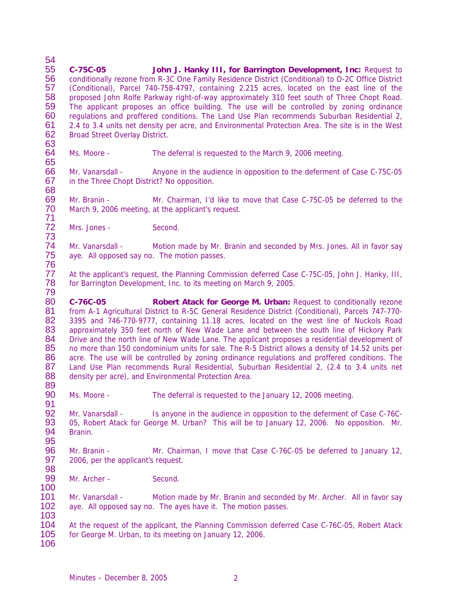54<br>55 55 **C-75C-05 John J. Hanky III, for Barrington Development, Inc:** Request to 56 conditionally rezone from R-3C One Family Residence District (Conditional) to O-2C Office District 57 (Conditional), Parcel 740-758-4797, containing 2.215 acres, located on the east line of the (Conditional), Parcel 740-758-4797, containing 2.215 acres, located on the east line of the 58 proposed John Rolfe Parkway right-of-way approximately 310 feet south of Three Chopt Road. 59 The applicant proposes an office building. The use will be controlled by zoning ordinance 60 regulations and proffered conditions. The Land Use Plan recommends Suburban Residential 2, 61 2.4 to 3.4 units net density per acre, and Environmental Protection Area. The site is in the West 62 Broad Street Overlav District. Broad Street Overlay District.

63 Ms. Moore - The deferral is requested to the March 9, 2006 meeting.

65 Mr. Vanarsdall - Anyone in the audience in opposition to the deferment of Case C-75C-05 67 in the Three Chopt District? No opposition. 68

69 Mr. Branin - Mr. Chairman, I'd like to move that Case C-75C-05 be deferred to the 70 March 9, 2006 meeting, at the applicant's request. March 9, 2006 meeting, at the applicant's request.

71 Mrs. Jones - Second.

73 74 Mr. Vanarsdall - Motion made by Mr. Branin and seconded by Mrs. Jones. All in favor say<br>75 ave. All opposed say no. The motion passes. aye. All opposed say no. The motion passes. 76

77 At the applicant's request, the Planning Commission deferred Case C-75C-05, John J. Hanky, III, 78 for Barrington Development, Inc. to its meeting on March 9, 2005. 79

80 **C-76C-05 Robert Atack for George M. Urban:** Request to conditionally rezone 81 from A-1 Agricultural District to R-5C General Residence District (Conditional), Parcels 747-770-82 3395 and 746-770-9777, containing 11.18 acres, located on the west line of Nuckols Road<br>83 approximately 350 feet north of New Wade Lane and between the south line of Hickory Park 83 approximately 350 feet north of New Wade Lane and between the south line of Hickory Park<br>84 Drive and the north line of New Wade Lane. The applicant proposes a residential development of 84 Drive and the north line of New Wade Lane. The applicant proposes a residential development of 85 no more than 150 condominium units for sale. The R-5 District allows a density of 14.52 units per 85 no more than 150 condominium units for sale. The R-5 District allows a density of 14.52 units per<br>86 acre. The use will be controlled by zoning ordinance regulations and proffered conditions. The 86 acre. The use will be controlled by zoning ordinance regulations and proffered conditions. The 87 Land Use Plan recommends Rural Residential, Suburban Residential 2, (2.4 to 3.4 units net Land Use Plan recommends Rural Residential, Suburban Residential 2, (2.4 to 3.4 units net 88 density per acre), and Environmental Protection Area.

89 Ms. Moore - The deferral is requested to the January 12, 2006 meeting.

92 Mr. Vanarsdall - Is anyone in the audience in opposition to the deferment of Case C-76C-93 05, Robert Atack for George M. Urban? This will be to January 12, 2006. No opposition. Mr.<br>94 Branin. Branin.

95<br>96 96 Mr. Branin - Mr. Chairman, I move that Case C-76C-05 be deferred to January 12,<br>97 2006, per the applicant's request. 2006, per the applicant's request.

98 Mr. Archer - Second.

91

100

101 Mr. Vanarsdall - Motion made by Mr. Branin and seconded by Mr. Archer. All in favor say 102 aye. All opposed say no. The ayes have it. The motion passes. 103

104 At the request of the applicant, the Planning Commission deferred Case C-76C-05, Robert Atack<br>105 for George M. Urban, to its meeting on January 12, 2006. for George M. Urban, to its meeting on January 12, 2006. 106

Minutes – December 8, 2005 2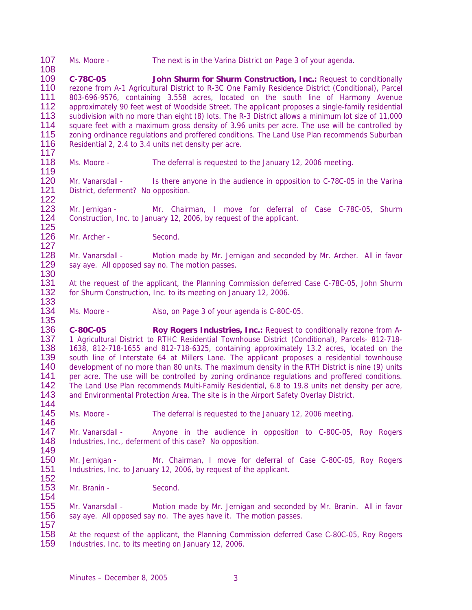107 Ms. Moore - The next is in the Varina District on Page 3 of your agenda.

108 109 **C-78C-05 John Shurm for Shurm Construction, Inc.:** Request to conditionally 110 rezone from A-1 Agricultural District to R-3C One Family Residence District (Conditional), Parcel<br>111 803-696-9576, containing 3.558 acres, located on the south line of Harmony Avenue 111 803-696-9576, containing 3.558 acres, located on the south line of Harmony Avenue<br>112 approximately 90 feet west of Woodside Street. The applicant proposes a single-family residential approximately 90 feet west of Woodside Street. The applicant proposes a single-family residential 113 subdivision with no more than eight (8) lots. The R-3 District allows a minimum lot size of 11,000 114 square feet with a maximum gross density of 3.96 units per acre. The use will be controlled by<br>115 zoning ordinance regulations and proffered conditions. The Land Use Plan recommends Suburban 115 zoning ordinance regulations and proffered conditions. The Land Use Plan recommends Suburban<br>116 Residential 2, 2,4 to 3,4 units net density per acre. Residential 2, 2.4 to 3.4 units net density per acre.

- 117 Ms. Moore - The deferral is requested to the January 12, 2006 meeting.
- 120 Mr. Vanarsdall Is there anyone in the audience in opposition to C-78C-05 in the Varina<br>121 District, deferment? No opposition. District, deferment? No opposition.
- 122 Mr. Jernigan - Mr. Chairman, I move for deferral of Case C-78C-05, Shurm 124 Construction, Inc. to January 12, 2006, by request of the applicant.
- 125 Mr. Archer - Second.

119

130

154

127 128 Mr. Vanarsdall - Motion made by Mr. Jernigan and seconded by Mr. Archer. All in favor<br>129 say ave. All opposed say no. The motion passes. say aye. All opposed say no. The motion passes.

131 At the request of the applicant, the Planning Commission deferred Case C-78C-05, John Shurm 132 for Shurm Construction, Inc. to its meeting on January 12, 2006. for Shurm Construction, Inc. to its meeting on January 12, 2006.

133 Ms. Moore - Also, on Page 3 of your agenda is C-80C-05.

135 136 **C-80C-05 Roy Rogers Industries, Inc.:** Request to conditionally rezone from A-<br>137 1 Agricultural District to RTHC Residential Townhouse District (Conditional), Parcels- 812-718-137 1 Agricultural District to RTHC Residential Townhouse District (Conditional), Parcels- 812-718-<br>138 1638, 812-718-1655 and 812-718-6325, containing approximately 13.2 acres, located on the 138 1638, 812-718-1655 and 812-718-6325, containing approximately 13.2 acres, located on the 139 south line of Interstate 64 at Millers Lane. The applicant proposes a residential townhouse 139 south line of Interstate 64 at Millers Lane. The applicant proposes a residential townhouse<br>140 development of no more than 80 units. The maximum density in the RTH District is nine (9) units development of no more than 80 units. The maximum density in the RTH District is nine (9) units 141 per acre. The use will be controlled by zoning ordinance regulations and proffered conditions.<br>142 The Land Use Plan recommends Multi-Family Residential, 6.8 to 19.8 units net density per acre, 142 The Land Use Plan recommends Multi-Family Residential, 6.8 to 19.8 units net density per acre,<br>143 and Environmental Protection Area. The site is in the Airport Safety Overlay District. and Environmental Protection Area. The site is in the Airport Safety Overlay District. 144

145 Ms. Moore - The deferral is requested to the January 12, 2006 meeting.

146<br>147 147 Mr. Vanarsdall - Anyone in the audience in opposition to C-80C-05, Roy Rogers<br>148 Industries, Inc., deferment of this case? No opposition. Industries, Inc., deferment of this case? No opposition.

149<br>150 Mr. Jernigan - Mr. Chairman, I move for deferral of Case C-80C-05, Roy Rogers 151 Industries, Inc. to January 12, 2006, by request of the applicant.

152 Mr. Branin - Second.

155 Mr. Vanarsdall - Motion made by Mr. Jernigan and seconded by Mr. Branin. All in favor 156 say aye. All opposed say no. The ayes have it. The motion passes.

157 158 At the request of the applicant, the Planning Commission deferred Case C-80C-05, Roy Rogers<br>159 Industries, Inc. to its meeting on January 12, 2006. Industries, Inc. to its meeting on January 12, 2006.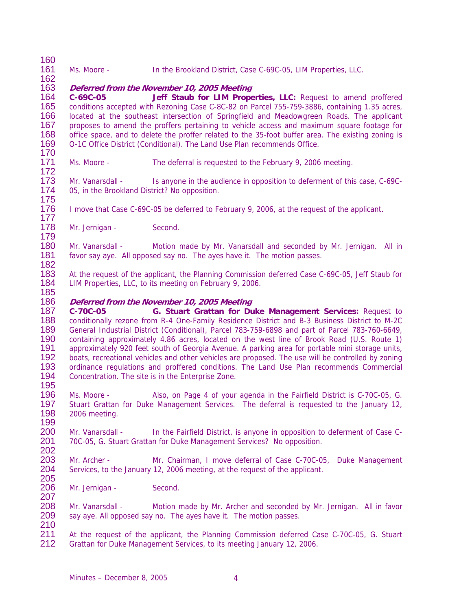| 160                             |                                                                                                                                                                                                                                                                                               |                                                                                                                                                                                                                                                                                                                                                                                                                                                                                                         |  |  |
|---------------------------------|-----------------------------------------------------------------------------------------------------------------------------------------------------------------------------------------------------------------------------------------------------------------------------------------------|---------------------------------------------------------------------------------------------------------------------------------------------------------------------------------------------------------------------------------------------------------------------------------------------------------------------------------------------------------------------------------------------------------------------------------------------------------------------------------------------------------|--|--|
| 161<br>162                      | Ms. Moore -                                                                                                                                                                                                                                                                                   | In the Brookland District, Case C-69C-05, LIM Properties, LLC.                                                                                                                                                                                                                                                                                                                                                                                                                                          |  |  |
| 163<br>164<br>165               | C-69C-05                                                                                                                                                                                                                                                                                      | Deferred from the November 10, 2005 Meeting<br>Jeff Staub for LIM Properties, LLC: Request to amend proffered<br>conditions accepted with Rezoning Case C-8C-82 on Parcel 755-759-3886, containing 1.35 acres,                                                                                                                                                                                                                                                                                          |  |  |
| 166<br>167<br>168               | located at the southeast intersection of Springfield and Meadowgreen Roads. The applicant<br>proposes to amend the proffers pertaining to vehicle access and maximum square footage for<br>office space, and to delete the proffer related to the 35-foot buffer area. The existing zoning is |                                                                                                                                                                                                                                                                                                                                                                                                                                                                                                         |  |  |
| 169<br>170                      |                                                                                                                                                                                                                                                                                               | O-1C Office District (Conditional). The Land Use Plan recommends Office.                                                                                                                                                                                                                                                                                                                                                                                                                                |  |  |
| 171<br>172                      | Ms. Moore -                                                                                                                                                                                                                                                                                   | The deferral is requested to the February 9, 2006 meeting.                                                                                                                                                                                                                                                                                                                                                                                                                                              |  |  |
| 173<br>174<br>175               | Mr. Vanarsdall -<br>05, in the Brookland District? No opposition.                                                                                                                                                                                                                             | Is anyone in the audience in opposition to deferment of this case, C-69C-                                                                                                                                                                                                                                                                                                                                                                                                                               |  |  |
| 176<br>177                      |                                                                                                                                                                                                                                                                                               | I move that Case C-69C-05 be deferred to February 9, 2006, at the request of the applicant.                                                                                                                                                                                                                                                                                                                                                                                                             |  |  |
| 178<br>179                      | Mr. Jernigan -                                                                                                                                                                                                                                                                                | Second.                                                                                                                                                                                                                                                                                                                                                                                                                                                                                                 |  |  |
| 180<br>181<br>182               | Mr. Vanarsdall -                                                                                                                                                                                                                                                                              | Motion made by Mr. Vanarsdall and seconded by Mr. Jernigan. All in<br>favor say aye. All opposed say no. The ayes have it. The motion passes.                                                                                                                                                                                                                                                                                                                                                           |  |  |
| 183<br>184<br>185               |                                                                                                                                                                                                                                                                                               | At the request of the applicant, the Planning Commission deferred Case C-69C-05, Jeff Staub for<br>LIM Properties, LLC, to its meeting on February 9, 2006.                                                                                                                                                                                                                                                                                                                                             |  |  |
| 186<br>187                      | C-70C-05                                                                                                                                                                                                                                                                                      | Deferred from the November 10, 2005 Meeting<br>G. Stuart Grattan for Duke Management Services: Request to                                                                                                                                                                                                                                                                                                                                                                                               |  |  |
| 188<br>189<br>190<br>191<br>192 |                                                                                                                                                                                                                                                                                               | conditionally rezone from R-4 One-Family Residence District and B-3 Business District to M-2C<br>General Industrial District (Conditional), Parcel 783-759-6898 and part of Parcel 783-760-6649,<br>containing approximately 4.86 acres, located on the west line of Brook Road (U.S. Route 1)<br>approximately 920 feet south of Georgia Avenue. A parking area for portable mini storage units,<br>boats, recreational vehicles and other vehicles are proposed. The use will be controlled by zoning |  |  |
| 193<br>194<br>195               |                                                                                                                                                                                                                                                                                               | ordinance regulations and proffered conditions. The Land Use Plan recommends Commercial<br>Concentration. The site is in the Enterprise Zone.                                                                                                                                                                                                                                                                                                                                                           |  |  |
| 196<br>197<br>198<br>199        | Ms. Moore -<br>2006 meeting.                                                                                                                                                                                                                                                                  | Also, on Page 4 of your agenda in the Fairfield District is C-70C-05, G.<br>Stuart Grattan for Duke Management Services. The deferral is requested to the January 12,                                                                                                                                                                                                                                                                                                                                   |  |  |
| 200<br>201<br>202               | Mr. Vanarsdall -                                                                                                                                                                                                                                                                              | In the Fairfield District, is anyone in opposition to deferment of Case C-<br>70C-05, G. Stuart Grattan for Duke Management Services? No opposition.                                                                                                                                                                                                                                                                                                                                                    |  |  |
| 203<br>204<br>205               | Mr. Archer -                                                                                                                                                                                                                                                                                  | Mr. Chairman, I move deferral of Case C-70C-05, Duke Management<br>Services, to the January 12, 2006 meeting, at the request of the applicant.                                                                                                                                                                                                                                                                                                                                                          |  |  |
| 206<br>207                      | Mr. Jernigan -                                                                                                                                                                                                                                                                                | Second.                                                                                                                                                                                                                                                                                                                                                                                                                                                                                                 |  |  |
| 208<br>209<br>210               | Mr. Vanarsdall -                                                                                                                                                                                                                                                                              | Motion made by Mr. Archer and seconded by Mr. Jernigan. All in favor<br>say aye. All opposed say no. The ayes have it. The motion passes.                                                                                                                                                                                                                                                                                                                                                               |  |  |
| 211<br>212                      |                                                                                                                                                                                                                                                                                               | At the request of the applicant, the Planning Commission deferred Case C-70C-05, G. Stuart<br>Grattan for Duke Management Services, to its meeting January 12, 2006.                                                                                                                                                                                                                                                                                                                                    |  |  |
|                                 |                                                                                                                                                                                                                                                                                               |                                                                                                                                                                                                                                                                                                                                                                                                                                                                                                         |  |  |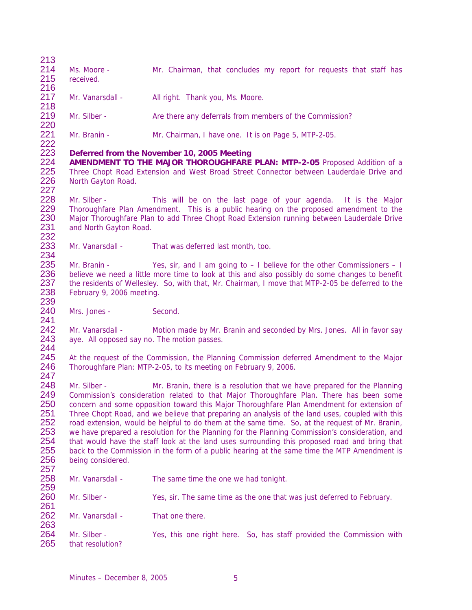$\frac{213}{214}$ 214 Ms. Moore - Mr. Chairman, that concludes my report for requests that staff has 215 received. received. 216 Mr. Vanarsdall - All right. Thank you, Ms. Moore. 218 Mr. Silber - Are there any deferrals from members of the Commission? 220 Mr. Branin - Mr. Chairman, I have one. It is on Page 5, MTP-2-05. 222<br>223 223 **Deferred from the November 10, 2005 Meeting**  224 **AMENDMENT TO THE MAJOR THOROUGHFARE PLAN: MTP-2-05** Proposed Addition of a 225 Three Chopt Road Extension and West Broad Street Connector between Lauderdale Drive and 226 North Gavton Road. North Gayton Road. 227<br>228 228 Mr. Silber - This will be on the last page of your agenda. It is the Major<br>229 Thoroughfare Plan Amendment. This is a public hearing on the proposed amendment to the Thoroughfare Plan Amendment. This is a public hearing on the proposed amendment to the 230 Major Thoroughfare Plan to add Three Chopt Road Extension running between Lauderdale Drive<br>231 and North Gavton Road. and North Gayton Road. 232<br>233 Mr. Vanarsdall - That was deferred last month, too. 234<br>235 235 Mr. Branin - Yes, sir, and I am going to  $-1$  believe for the other Commissioners  $-1$ <br>236 believe we need a little more time to look at this and also possibly do some changes to benefit believe we need a little more time to look at this and also possibly do some changes to benefit 237 the residents of Wellesley. So, with that, Mr. Chairman, I move that MTP-2-05 be deferred to the 238 February 9, 2006 meeting. February 9, 2006 meeting. 239<br>240 Mrs. Jones - Second. 241<br>242 242 Mr. Vanarsdall - Motion made by Mr. Branin and seconded by Mrs. Jones. All in favor say<br>243 ave. All opposed sav no. The motion passes. aye. All opposed say no. The motion passes. 244<br>245 245 At the request of the Commission, the Planning Commission deferred Amendment to the Major<br>246 Thoroughfare Plan: MTP-2-05, to its meeting on February 9, 2006. Thoroughfare Plan: MTP-2-05, to its meeting on February 9, 2006. 247<br>248 Mr. Silber - Mr. Branin, there is a resolution that we have prepared for the Planning 249 Commission's consideration related to that Major Thoroughfare Plan. There has been some<br>250 concern and some opposition toward this Maior Thoroughfare Plan Amendment for extension of 250 concern and some opposition toward this Major Thoroughfare Plan Amendment for extension of 251 Three Chopt Road, and we believe that preparing an analysis of the land uses, coupled with this<br>252 road extension, would be helpful to do them at the same time. So, at the request of Mr. Branin, 252 road extension, would be helpful to do them at the same time. So, at the request of Mr. Branin, 253 we have prepared a resolution for the Planning for the Planning Commission's consideration, and 253 we have prepared a resolution for the Planning for the Planning Commission's consideration, and<br>254 that would have the staff look at the land uses surrounding this proposed road and bring that 254 that would have the staff look at the land uses surrounding this proposed road and bring that 255 back to the Commission in the form of a public hearing at the same time the MTP Amendment is 255 back to the Commission in the form of a public hearing at the same time the MTP Amendment is 256 being considered being considered. 257 Mr. Vanarsdall - The same time the one we had tonight. 259 260 Mr. Silber - Yes, sir. The same time as the one that was just deferred to February. 261 262 Mr. Vanarsdall - That one there. 263<br>264 264 Mr. Silber - Yes, this one right here. So, has staff provided the Commission with 265 that resolution? that resolution?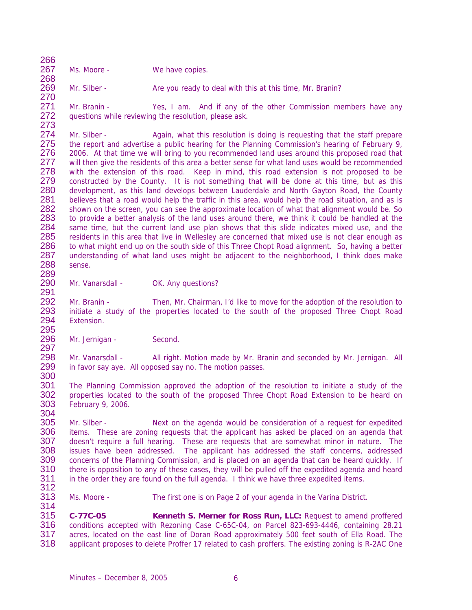266<br>267 Ms. Moore - We have copies. 268

269 Mr. Silber - Are you ready to deal with this at this time, Mr. Branin? 270

271 Mr. Branin - Yes, I am. And if any of the other Commission members have any 272 questions while reviewing the resolution, please ask. questions while reviewing the resolution, please ask.

273 274 Mr. Silber - Again, what this resolution is doing is requesting that the staff prepare<br>275 the report and advertise a public hearing for the Planning Commission's hearing of February 9. 275 the report and advertise a public hearing for the Planning Commission's hearing of February 9,<br>276 2006. At that time we will bring to you recommended land uses around this proposed road that 276 2006. At that time we will bring to you recommended land uses around this proposed road that 277 will then give the residents of this area a better sense for what land uses would be recommended 277 will then give the residents of this area a better sense for what land uses would be recommended<br>278 with the extension of this road. Keep in mind, this road extension is not proposed to be 278 with the extension of this road. Keep in mind, this road extension is not proposed to be 279 constructed by the County. It is not something that will be done at this time, but as this 279 constructed by the County. It is not something that will be done at this time, but as this 280 development, as this land develops between Lauderdale and North Gayton Road, the County development, as this land develops between Lauderdale and North Gayton Road, the County 281 believes that a road would help the traffic in this area, would help the road situation, and as is 282 shown on the screen, you can see the approximate location of what that alignment would be. So 282 shown on the screen, you can see the approximate location of what that alignment would be. So 283 to provide a better analysis of the land uses around there, we think it could be handled at the 284 same time, but the current land use plan shows that this slide indicates mixed use, and the 284 same time, but the current land use plan shows that this slide indicates mixed use, and the 285 residents in this area that live in Welleslev are concerned that mixed use is not clear enough as 285 residents in this area that live in Wellesley are concerned that mixed use is not clear enough as<br>286 to what might end up on the south side of this Three Chopt Road alignment. So, having a better 286 to what might end up on the south side of this Three Chopt Road alignment. So, having a better 287 understanding of what land uses might be adiacent to the neighborhood. I think does make 287 understanding of what land uses might be adjacent to the neighborhood, I think does make<br>288 sense sense. 289

290 Mr. Vanarsdall - OK. Any questions?

291 Mr. Branin - Then, Mr. Chairman, I'd like to move for the adoption of the resolution to initiate a study of the properties located to the south of the proposed Three Chopt Road Extension.

295<br>296 Mr. Jernigan - Second.

297 298 Mr. Vanarsdall - All right. Motion made by Mr. Branin and seconded by Mr. Jernigan. All 299 in favor say ave. All opposed say no. The motion passes. in favor say aye. All opposed say no. The motion passes.

300<br>301 The Planning Commission approved the adoption of the resolution to initiate a study of the 302 properties located to the south of the proposed Three Chopt Road Extension to be heard on 303 February 9, 2006. February 9, 2006. 304

305 Mr. Silber - Solet a Next on the agenda would be consideration of a request for expedited 306 items. These are zoning requests that the applicant has asked be placed on an agenda that 306 items. These are zoning requests that the applicant has asked be placed on an agenda that 307 doesn't require a full hearing. These are requests that are somewhat minor in nature. The 307 doesn't require a full hearing. These are requests that are somewhat minor in nature. The 308 issues have been addressed. The applicant has addressed the staff concerns, addressed 308 issues have been addressed. The applicant has addressed the staff concerns, addressed<br>309 concerns of the Planning Commission, and is placed on an agenda that can be heard quickly. If concerns of the Planning Commission, and is placed on an agenda that can be heard quickly. If 310 there is opposition to any of these cases, they will be pulled off the expedited agenda and heard<br>311 in the order they are found on the full agenda. I think we have three expedited items. in the order they are found on the full agenda. I think we have three expedited items. 312

313 Ms. Moore - The first one is on Page 2 of your agenda in the Varina District. 314

315 **C-77C-05 Kenneth S. Merner for Ross Run, LLC:** Request to amend proffered 316 conditions accepted with Rezoning Case C-65C-04, on Parcel 823-693-4446, containing 28.21<br>317 acres, located on the east line of Doran Road approximately 500 feet south of Ella Road. The 317 acres, located on the east line of Doran Road approximately 500 feet south of Ella Road. The 318<br>318 applicant proposes to delete Proffer 17 related to cash proffers. The existing zoning is R-2AC One applicant proposes to delete Proffer 17 related to cash proffers. The existing zoning is R-2AC One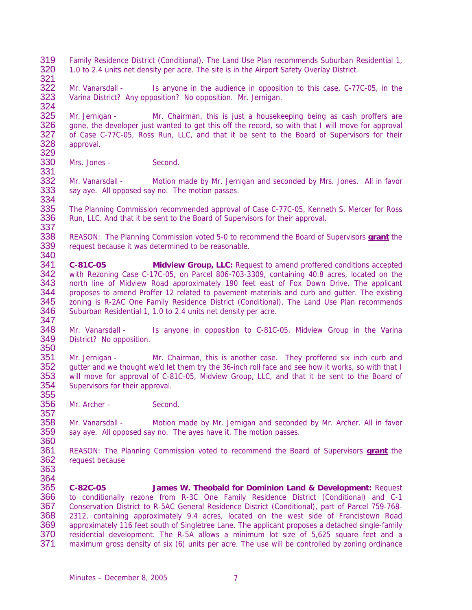- 319 Family Residence District (Conditional). The Land Use Plan recommends Suburban Residential 1, 320 10 to 2.4 units net density per acre. The site is in the Airport Safety Overlay District 320 1.0 to 2.4 units net density per acre. The site is in the Airport Safety Overlay District.
- 322 Mr. Vanarsdall Is anyone in the audience in opposition to this case, C-77C-05, in the 323 Varina District? Any opposition? No opposition. Mr. Jernigan. Varina District? Any opposition? No opposition. Mr. Jernigan.

324<br>325 Mr. Jernigan - Mr. Chairman, this is just a housekeeping being as cash proffers are 326 gone, the developer just wanted to get this off the record, so with that I will move for approval 327 of Case C-77C-05. Ross Run. LLC, and that it be sent to the Board of Supervisors for their 327 of Case C-77C-05, Ross Run, LLC, and that it be sent to the Board of Supervisors for their<br>328 approval. approval.

329<br>330 Mrs. Jones - Second.

332 Mr. Vanarsdall - Motion made by Mr. Jernigan and seconded by Mrs. Jones. All in favor<br>333 say aye. All opposed say no. The motion passes. say aye. All opposed say no. The motion passes.

334<br>335 335 The Planning Commission recommended approval of Case C-77C-05, Kenneth S. Mercer for Ross 336 Run, LLC. And that it be sent to the Board of Supervisors for their approval.

- 337<br>338 338 REASON: The Planning Commission voted 5-0 to recommend the Board of Supervisors **grant** the request because it was determined to be reasonable.
- 340<br>341 341 **C-81C-05 Midview Group, LLC:** Request to amend proffered conditions accepted with Rezoning Case C-17C-05, on Parcel 806-703-3309, containing 40.8 acres, located on the 343 north line of Midview Road approximately 190 feet east of Fox Down Drive. The applicant 344 proposes to amend Proffer 12 related to pavement materials and curb and gutter. The existing 344 proposes to amend Proffer 12 related to pavement materials and curb and gutter. The existing<br>345 zoning is R-2AC One Family Residence District (Conditional). The Land Use Plan recommends 345 zoning is R-2AC One Family Residence District (Conditional). The Land Use Plan recommends<br>346 Suburban Residential 1, 1.0 to 2.4 units net density per acre. Suburban Residential 1, 1.0 to 2.4 units net density per acre.
- 347<br>348 348 Mr. Vanarsdall - Is anyone in opposition to C-81C-05, Midview Group in the Varina<br>349 District? No opposition. District? No opposition.
- 350<br>351 351 Mr. Jernigan - Mr. Chairman, this is another case. They proffered six inch curb and 352 gutter and we thought we'd let them try the 36-inch roll face and see how it works, so with that I quitter and we thought we'd let them try the 36-inch roll face and see how it works, so with that I 353 will move for approval of C-81C-05, Midview Group, LLC, and that it be sent to the Board of 354 Supervisors for their approval. Supervisors for their approval. 355
- 356 Mr. Archer Second.

358 Mr. Vanarsdall - Motion made by Mr. Jernigan and seconded by Mr. Archer. All in favor<br>359 say aye. All opposed say no. The ayes have it. The motion passes. say aye. All opposed say no. The ayes have it. The motion passes.

- 360<br>361 361 REASON: The Planning Commission voted to recommend the Board of Supervisors **grant** the request because
- 363 364

357

321

331

365 **C-82C-05 James W. Theobald for Dominion Land & Development:** Request 366 to conditionally rezone from R-3C One Family Residence District (Conditional) and C-1 367 Conservation District to R-5AC General Residence District (Conditional), part of Parcel 759-768- 368 2312, containing approximately 9.4 acres, located on the west side of Francistown Road 369 approximately 116 feet south of Singletree Lane. The applicant proposes a detached single-family<br>370 residential development. The R-5A allows a minimum lot size of 5,625 square feet and a 370 residential development. The R-5A allows a minimum lot size of 5,625 square feet and a<br>371 maximum gross density of six (6) units per acre. The use will be controlled by zoning ordinance maximum gross density of six (6) units per acre. The use will be controlled by zoning ordinance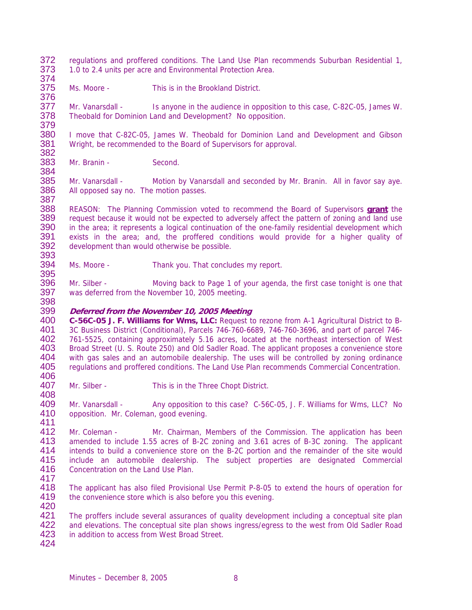- 372 regulations and proffered conditions. The Land Use Plan recommends Suburban Residential 1,<br>373 1.0 to 2.4 units per acre and Environmental Protection Area. 373 1.0 to 2.4 units per acre and Environmental Protection Area. 374
- 375 Ms. Moore This is in the Brookland District. 376

377 Mr. Vanarsdall - Is anyone in the audience in opposition to this case, C-82C-05, James W. 378 Theobald for Dominion Land and Development? No opposition.

379 380 I move that C-82C-05, James W. Theobald for Dominion Land and Development and Gibson 381 Viright, be recommended to the Board of Supervisors for approval. Wright, be recommended to the Board of Supervisors for approval.

382<br>383 Mr. Branin - Second.

384

395

408

385 Mr. Vanarsdall - Motion by Vanarsdall and seconded by Mr. Branin. All in favor say aye.<br>386 All opposed say no. The motion passes. All opposed say no. The motion passes.

387<br>388 388 REASON: The Planning Commission voted to recommend the Board of Supervisors **grant** the 389 request because it would not be expected to adversely affect the pattern of zoning and land use<br>390 in the area: it represents a logical continuation of the one-family residential development which 390 in the area; it represents a logical continuation of the one-family residential development which<br>391 exists in the area; and, the proffered conditions would provide for a higher quality of 391 exists in the area; and, the proffered conditions would provide for a higher quality of 392 development than would otherwise be possible. development than would otherwise be possible.

393<br>394 Ms. Moore - Thank you. That concludes my report.

396 Mr. Silber - Moving back to Page 1 of your agenda, the first case tonight is one that 397 was deferred from the November 10, 2005 meeting. was deferred from the November 10, 2005 meeting. 398

# 399 **Deferred from the November 10, 2005 Meeting**

400 **C-56C-05 J. F. Williams for Wms, LLC:** Request to rezone from A-1 Agricultural District to B-401 3C Business District (Conditional), Parcels 746-760-6689, 746-760-3696, and part of parcel 746-<br>402 761-5525, containing approximately 5.16 acres, located at the northeast intersection of West 402 761-5525, containing approximately 5.16 acres, located at the northeast intersection of West<br>403 Broad Street (U. S. Route 250) and Old Sadler Road. The applicant proposes a convenience store 403 Broad Street (U. S. Route 250) and Old Sadler Road. The applicant proposes a convenience store<br>404 with gas sales and an automobile dealership. The uses will be controlled by zoning ordinance 404 with gas sales and an automobile dealership. The uses will be controlled by zoning ordinance<br>405 regulations and proffered conditions. The Land Use Plan recommends Commercial Concentration. regulations and proffered conditions. The Land Use Plan recommends Commercial Concentration.

406<br>407 Mr. Silber - This is in the Three Chopt District.

409 Mr. Vanarsdall - Any opposition to this case? C-56C-05, J. F. Williams for Wms, LLC? No 410 opposition. Mr. Coleman, good evening.

411<br>412 412 Mr. Coleman - Mr. Chairman, Members of the Commission. The application has been<br>413 amended to include 1.55 acres of B-2C zoning and 3.61 acres of B-3C zoning. The applicant 413 amended to include 1.55 acres of B-2C zoning and 3.61 acres of B-3C zoning. The applicant 414 intends to build a convenience store on the B-2C portion and the remainder of the site would 414 intends to build a convenience store on the B-2C portion and the remainder of the site would<br>415 include an automobile dealership. The subiect properties are designated Commercial include an automobile dealership. The subject properties are designated Commercial 416 Concentration on the Land Use Plan.

417 The applicant has also filed Provisional Use Permit P-8-05 to extend the hours of operation for 419 the convenience store which is also before you this evening. 420

421 The proffers include several assurances of quality development including a conceptual site plan 422 and elevations. The conceptual site plan shows ingress/egress to the west from Old Sadler Road<br>423 in addition to access from West Broad Street. in addition to access from West Broad Street.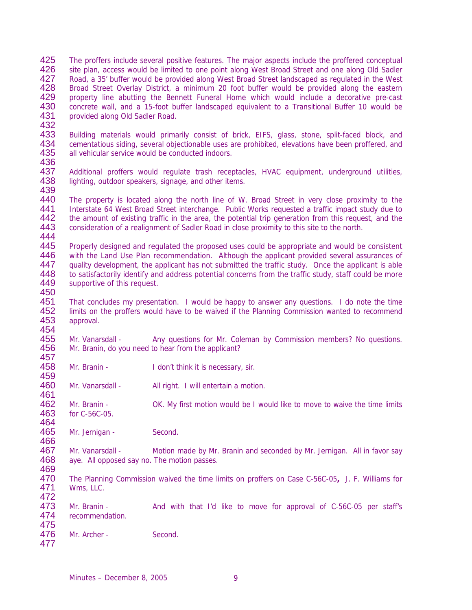- 425 The proffers include several positive features. The major aspects include the proffered conceptual 426 site plan, access would be limited to one point along West Broad Street and one along Old Sadler 426 site plan, access would be limited to one point along West Broad Street and one along Old Sadler<br>427 Road, a 35' buffer would be provided along West Broad Street landscaped as regulated in the West Road, a 35' buffer would be provided along West Broad Street landscaped as regulated in the West 428 Broad Street Overlay District, a minimum 20 foot buffer would be provided along the eastern<br>429 property line abutting the Bennett Funeral Home which would include a decorative pre-cast 429 property line abutting the Bennett Funeral Home which would include a decorative pre-cast<br>430 concrete wall, and a 15-foot buffer landscaped equivalent to a Transitional Buffer 10 would be 430 concrete wall, and a 15-foot buffer landscaped equivalent to a Transitional Buffer 10 would be 431 convided along Old Sadler Road. provided along Old Sadler Road.
- 432<br>433

- 433 Building materials would primarily consist of brick, EIFS, glass, stone, split-faced block, and<br>434 Cementatious siding, several objectionable uses are prohibited, elevations have been proffered, and 434 cementatious siding, several objectionable uses are prohibited, elevations have been proffered, and 435 all vehicular service would be conducted indoors. all vehicular service would be conducted indoors.
- 436<br>437 Additional proffers would regulate trash receptacles, HVAC equipment, underground utilities, 438 lighting, outdoor speakers, signage, and other items.
- 439<br>440 440 The property is located along the north line of W. Broad Street in very close proximity to the 441 Interstate 64 West Broad Street interchange. Public Works requested a traffic impact study due to Interstate 64 West Broad Street interchange. Public Works requested a traffic impact study due to 442 the amount of existing traffic in the area, the potential trip generation from this request, and the 443 consideration of a realignment of Sadler Road in close proximity to this site to the north. consideration of a realignment of Sadler Road in close proximity to this site to the north.
- 444<br>445 445 Properly designed and regulated the proposed uses could be appropriate and would be consistent<br>446 with the Land Use Plan recommendation. Although the applicant provided several assurances of 446 with the Land Use Plan recommendation. Although the applicant provided several assurances of 447 quality development the applicant has not submitted the traffic study. Once the applicant is able 447 quality development, the applicant has not submitted the traffic study. Once the applicant is able<br>448 to satisfactorily identify and address potential concerns from the traffic study, staff could be more to satisfactorily identify and address potential concerns from the traffic study, staff could be more 449 supportive of this request. 450
- 451 That concludes my presentation. I would be happy to answer any questions. I do note the time 452 limits on the proffers would have to be waived if the Planning Commission wanted to recommend 453 approval. approval.
- 454<br>455 455 Mr. Vanarsdall - Any questions for Mr. Coleman by Commission members? No questions.<br>456 Mr. Branin, do vou need to hear from the applicant? Mr. Branin, do you need to hear from the applicant?
- 457<br>458 Mr. Branin - I don't think it is necessary, sir.
- 459<br>460 Mr. Vanarsdall - All right. I will entertain a motion.
- 462 Mr. Branin OK. My first motion would be I would like to move to waive the time limits 463 for C-56C-05.
- 464<br>465 Mr. Jernigan - Second.
- 466<br>467 467 Mr. Vanarsdall - Motion made by Mr. Branin and seconded by Mr. Jernigan. All in favor say<br>468 ave All opposed say no The motion passes aye. All opposed say no. The motion passes.
- 469<br>470 470 The Planning Commission waived the time limits on proffers on Case C-56C-05**,** J. F. Williams for Wms, LLC. 472
- 473 Mr. Branin And with that I'd like to move for approval of C-56C-05 per staff's 474 recommendation.
- 475<br>476 Mr. Archer - Second. 477
	- Minutes December 8, 2005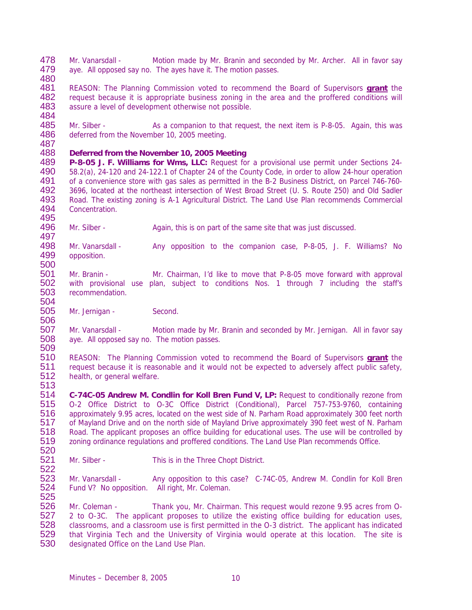478 Mr. Vanarsdall - Motion made by Mr. Branin and seconded by Mr. Archer. All in favor say<br>479 ave All opposed say no The aves have it The motion passes aye. All opposed say no. The ayes have it. The motion passes.

480

504

481 REASON: The Planning Commission voted to recommend the Board of Supervisors **grant** the 482 Frequest because it is appropriate business zoning in the area and the proffered conditions will<br>483 Fressure a level of development otherwise not possible. assure a level of development otherwise not possible.

484<br>485 485 Mr. Silber - As a companion to that request, the next item is P-8-05. Again, this was<br>486 deferred from the November 10, 2005 meeting. deferred from the November 10, 2005 meeting.

### 487 488 **Deferred from the November 10, 2005 Meeting**

489 **P-8-05 J. F. Williams for Wms, LLC:** Request for a provisional use permit under Sections 24- 58.2(a), 24-120 and 24-122.1 of Chapter 24 of the County Code, in order to allow 24-hour operation 491 of a convenience store with gas sales as permitted in the B-2 Business District, on Parcel 746-760-<br>492 3696, located at the northeast intersection of West Broad Street (U. S. Route 250) and Old Sadler 492 3696, located at the northeast intersection of West Broad Street (U. S. Route 250) and Old Sadler<br>493 Road, The existing zoning is A-1 Agricultural District. The Land Use Plan recommends Commercial 493 Road. The existing zoning is A-1 Agricultural District. The Land Use Plan recommends Commercial 494 Concentration. Concentration. 495

496 Mr. Silber - Again, this is on part of the same site that was just discussed.

497<br>498 498 Mr. Vanarsdall - Any opposition to the companion case, P-8-05, J. F. Williams? No<br>499 opposition. opposition. 500

501 Mr. Branin - Mr. Chairman, I'd like to move that P-8-05 move forward with approval 502 with provisional use plan, subject to conditions Nos. 1 through 7 including the staff's recommendation.

505 Mr. Jernigan - Second.

506<br>507 507 Mr. Vanarsdall - Motion made by Mr. Branin and seconded by Mr. Jernigan. All in favor say<br>508 ave. All opposed sav no. The motion passes. aye. All opposed say no. The motion passes.

509 510 REASON: The Planning Commission voted to recommend the Board of Supervisors **grant** the request because it is reasonable and it would not be expected to adversely affect public safety, 512 health, or general welfare.

513<br>514 514 **C-74C-05 Andrew M. Condlin for Koll Bren Fund V, LP:** Request to conditionally rezone from 515 O-2 Office District to O-3C Office District (Conditional), Parcel 757-753-9760, containing 516 approximately 9.95 acres, located on the west side of N. Parham Road approximately 300 feet north 517 of Mayland Drive and on the north side of Mayland Drive approximately 390 feet west of N. Parham<br>518 Road. The applicant proposes an office building for educational uses. The use will be controlled by 518 Road. The applicant proposes an office building for educational uses. The use will be controlled by 519 zoning ordinance regulations and proffered conditions. The Land Use Plan recommends Office. zoning ordinance regulations and proffered conditions. The Land Use Plan recommends Office.

520<br>521 Mr. Silber - This is in the Three Chopt District.

522<br>523 523 Mr. Vanarsdall - Any opposition to this case? C-74C-05, Andrew M. Condlin for Koll Bren<br>524 Fund V? No opposition. All right, Mr. Coleman. Fund V? No opposition. All right, Mr. Coleman. 525

526 Mr. Coleman - Thank you, Mr. Chairman. This request would rezone 9.95 acres from O-527 2 to O-3C. The applicant proposes to utilize the existing office building for education uses, 528 classrooms, and a classroom use is first permitted in the O-3 district. The applicant has indicated 529 that Virginia Tech and the University of Virginia would operate at this location. The site is 529 that Virginia Tech and the University of Virginia would operate at this location. The site is 530 designated Office on the Land Use Plan. designated Office on the Land Use Plan.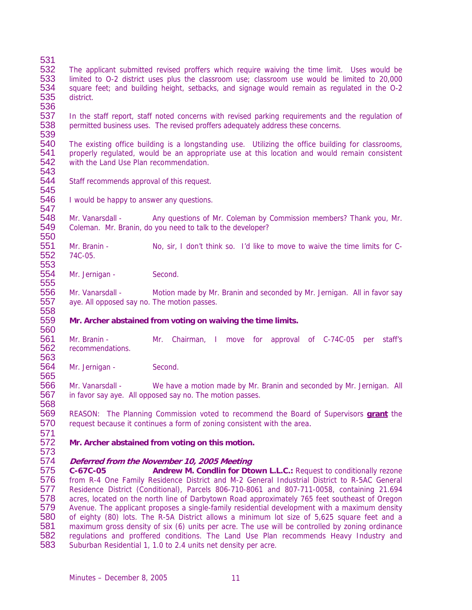- 531<br>532 532 The applicant submitted revised proffers which require waiving the time limit. Uses would be<br>533 Ilmited to 0-2 district uses plus the classroom use; classroom use would be limited to 20,000 limited to O-2 district uses plus the classroom use; classroom use would be limited to 20,000 534 square feet; and building height, setbacks, and signage would remain as regulated in the O-2<br>535 district. district. 536
- 537 In the staff report, staff noted concerns with revised parking requirements and the regulation of 538 permitted business uses. The revised proffers adequately address these concerns.

539<br>540 540 The existing office building is a longstanding use. Utilizing the office building for classrooms, 541 properly requlated, would be an appropriate use at this location and would remain consistent 541 properly regulated, would be an appropriate use at this location and would remain consistent 542 with the Land Use Plan recommendation. with the Land Use Plan recommendation.

- 543<br>544 Staff recommends approval of this request.
- 545<br>546 I would be happy to answer any questions. 547

548 Mr. Vanarsdall - Any questions of Mr. Coleman by Commission members? Thank you, Mr. 549 Coleman. Mr. Branin, do you need to talk to the developer?

550<br>551 551 Mr. Branin - No, sir, I don't think so. I'd like to move to waive the time limits for C-<br>552 74C-05. 74C-05. 553

554 Mr. Jernigan - Second.

555<br>556 Mr. Vanarsdall - Motion made by Mr. Branin and seconded by Mr. Jernigan. All in favor say 557 aye. All opposed say no. The motion passes. 558

#### 559 **Mr. Archer abstained from voting on waiving the time limits.**

560<br>561 561 Mr. Branin - Mr. Chairman, I move for approval of C-74C-05 per staff's 562 recommendations. recommendations.

563<br>564 Mr. Jernigan - Second.

565<br>566 Mr. Vanarsdall - We have a motion made by Mr. Branin and seconded by Mr. Jernigan. All 567 in favor say aye. All opposed say no. The motion passes.

569 REASON: The Planning Commission voted to recommend the Board of Supervisors **grant** the 570 request because it continues a form of zoning consistent with the area.

- 571 Mr. Archer abstained from voting on this motion.
- 573

568

### 574 **Deferred from the November 10, 2005 Meeting**

575 **C-67C-05 Andrew M. Condlin for Dtown L.L.C.:** Request to conditionally rezone 576 from R-4 One Family Residence District and M-2 General Industrial District to R-5AC General 577 Residence District (Conditional), Parcels 806-710-8061 and 807-711-0058, containing 21.694 578 acres, located on the north line of Darbytown Road approximately 765 feet southeast of Oregon<br>579 Avenue. The applicant proposes a single-family residential development with a maximum density 579 Avenue. The applicant proposes a single-family residential development with a maximum density 580 of eighty (80) lots. The R-5A District allows a minimum lot size of 5,625 square feet and a<br>581 maximum gross density of six (6) units per acre. The use will be controlled by zoning ordinance 581 maximum gross density of six (6) units per acre. The use will be controlled by zoning ordinance<br>582 Frequiations and proffered conditions. The Land Use Plan recommends Heavy Industry and regulations and proffered conditions. The Land Use Plan recommends Heavy Industry and 583 Suburban Residential 1, 1.0 to 2.4 units net density per acre.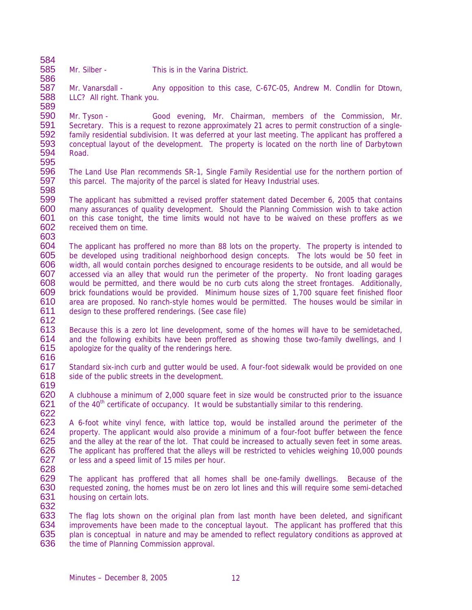584<br>585

586

Mr. Silber - This is in the Varina District

587 Mr. Vanarsdall - Any opposition to this case, C-67C-05, Andrew M. Condlin for Dtown, 588 LLC? All right. Thank vou. LLC? All right. Thank you. 589

590 Mr. Tyson - Good evening, Mr. Chairman, members of the Commission, Mr. 591 Secretary. This is a request to rezone approximately 21 acres to permit construction of a single-<br>592 family residential subdivision. It was deferred at your last meeting. The applicant has proffered a 592 family residential subdivision. It was deferred at your last meeting. The applicant has proffered a 593 conceptual layout of the development. The property is located on the north line of Darbytown<br>594 Road. Road.

- 595<br>596 The Land Use Plan recommends SR-1, Single Family Residential use for the northern portion of 597 this parcel. The majority of the parcel is slated for Heavy Industrial uses.
- 598 599 The applicant has submitted a revised proffer statement dated December 6, 2005 that contains many assurances of quality development. Should the Planning Commission wish to take action 601 on this case tonight, the time limits would not have to be waived on these proffers as we<br>602 received them on time. received them on time.
- 603 604 The applicant has proffered no more than 88 lots on the property. The property is intended to 605 be developed using traditional neighborhood design concepts. The lots would be 50 feet in<br>606 width all would contain porches designed to encourage residents to be outside and all would be width, all would contain porches designed to encourage residents to be outside, and all would be 607 accessed via an alley that would run the perimeter of the property. No front loading garages 608 would be permitted, and there would be no curb cuts along the street frontages. Additionally, 609 brick foundations would be provided. Minimum house sizes of 1,700 square feet finished floor brick foundations would be provided. Minimum house sizes of 1,700 square feet finished floor 610 area are proposed. No ranch-style homes would be permitted. The houses would be similar in 611 design to these proffered renderings. (See case file)
- 612<br>613
- 613 Because this is a zero lot line development, some of the homes will have to be semidetached,<br>614 and the following exhibits have been proffered as showing those two-family dwellings, and I 614 and the following exhibits have been proffered as showing those two-family dwellings, and I<br>615 apologize for the quality of the renderings here. apologize for the quality of the renderings here.
- 616<br>617 Standard six-inch curb and gutter would be used. A four-foot sidewalk would be provided on one 618 side of the public streets in the development.
- 619
- 620 A clubhouse a minimum of 2,000 square feet in size would be constructed prior to the issuance 621 of the  $40^{\text{th}}$  certificate of occupancy. It would be substantially similar to this rendering. of the  $40<sup>th</sup>$  certificate of occupancy. It would be substantially similar to this rendering.
- 622<br>623 623 A 6-foot white vinyl fence, with lattice top, would be installed around the perimeter of the 624 species property. The applicant would also provide a minimum of a four-foot buffer between the fence 624 property. The applicant would also provide a minimum of a four-foot buffer between the fence 625 and the allev at the rear of the lot. That could be increased to actually seven feet in some areas. 625 and the alley at the rear of the lot. That could be increased to actually seven feet in some areas.<br>626 The applicant has proffered that the alleys will be restricted to vehicles weighing 10.000 pounds 626 The applicant has proffered that the alleys will be restricted to vehicles weighing 10,000 pounds<br>627 or less and a speed limit of 15 miles per hour or less and a speed limit of 15 miles per hour.
- 628
- 629 The applicant has proffered that all homes shall be one-family dwellings. Because of the 630 requested zoning, the homes must be on zero lot lines and this will require some semi-detached requested zoning, the homes must be on zero lot lines and this will require some semi-detached 631 housing on certain lots. 632
- 633 The flag lots shown on the original plan from last month have been deleted, and significant 634 improvements have been made to the conceptual layout. The applicant has proffered that this 635 plan is conceptual in nature and may be amended to reflect requilatory conditions as approved at 635 plan is conceptual in nature and may be amended to reflect regulatory conditions as approved at 636 the time of Planning Commission approved. the time of Planning Commission approval.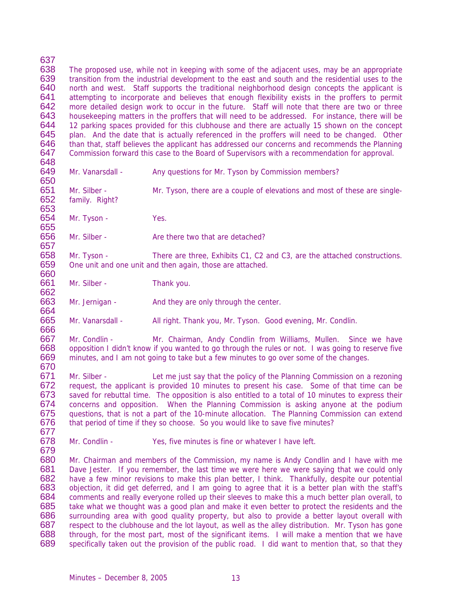637<br>638 638 The proposed use, while not in keeping with some of the adjacent uses, may be an appropriate<br>639 transition from the industrial development to the east and south and the residential uses to the transition from the industrial development to the east and south and the residential uses to the 640 north and west. Staff supports the traditional neighborhood design concepts the applicant is<br>641 attempting to incorporate and believes that enough flexibility exists in the proffers to permit 641 attempting to incorporate and believes that enough flexibility exists in the proffers to permit 642 more detailed design work to occur in the future. Staff will note that there are two or three 642 more detailed design work to occur in the future. Staff will note that there are two or three<br>643 bousekeeping matters in the proffers that will need to be addressed. For instance, there will be 643 housekeeping matters in the proffers that will need to be addressed. For instance, there will be 644 and 12 parking spaces provided for this clubhouse and there are actually 15 shown on the concept 644 12 parking spaces provided for this clubhouse and there are actually 15 shown on the concept 645 plan. And the date that is actually referenced in the proffers will need to be changed. Other 645 plan. And the date that is actually referenced in the proffers will need to be changed. Other 646 than that, staff believes the applicant has addressed our concerns and recommends the Planning 646 than that, staff believes the applicant has addressed our concerns and recommends the Planning<br>647 Commission forward this case to the Board of Supervisors with a recommendation for approval. Commission forward this case to the Board of Supervisors with a recommendation for approval.

648<br>649

653

660

664

Mr. Vanarsdall - Any questions for Mr. Tyson by Commission members?

650<br>651 651 Mr. Silber - Mr. Tyson, there are a couple of elevations and most of these are single-<br>652 family. Right? family. Right?

654 Mr. Tyson - Yes.

655<br>656 Mr. Silber - Are there two that are detached?

657<br>658 658 Mr. Tyson - There are three, Exhibits C1, C2 and C3, are the attached constructions.<br>659 One unit and one unit and then again those are attached One unit and one unit and then again, those are attached.

661 Mr. Silber - Thank you. 662

663 Mr. Jernigan - And they are only through the center.

665 Mr. Vanarsdall - All right. Thank you, Mr. Tyson. Good evening, Mr. Condlin.

666 667 Mr. Condlin - Mr. Chairman, Andy Condlin from Williams, Mullen. Since we have <br>668 opposition I didn't know if you wanted to go through the rules or not. I was going to reserve five 668 opposition I didn't know if you wanted to go through the rules or not. I was going to reserve five 669 minutes, and I am not going to take but a few minutes to go over some of the changes. minutes, and I am not going to take but a few minutes to go over some of the changes. 670

671 Mr. Silber - Let me just say that the policy of the Planning Commission on a rezoning<br>672 request, the applicant is provided 10 minutes to present his case. Some of that time can be request, the applicant is provided 10 minutes to present his case. Some of that time can be 673 saved for rebuttal time. The opposition is also entitled to a total of 10 minutes to express their<br>674 concerns and opposition. When the Planning Commission is asking anyone at the podium concerns and opposition. When the Planning Commission is asking anyone at the podium 675 questions, that is not a part of the 10-minute allocation. The Planning Commission can extend 676 that period of time if they so choose. So you would like to save five minutes?

677<br>678 Mr. Condlin - Yes, five minutes is fine or whatever I have left.

679 Mr. Chairman and members of the Commission, my name is Andy Condlin and I have with me 681 Dave Jester. If you remember, the last time we were here we were saying that we could only 682 have a few minor revisions to make this plan better. I think. Thankfully, despite our potential 682 have a few minor revisions to make this plan better, I think. Thankfully, despite our potential 683 objection, it did get deferred, and I am going to agree that it is a better plan with the staff's 683 objection, it did get deferred, and I am going to agree that it is a better plan with the staff's 684 comments and really everyone rolled up their sleeves to make this a much better plan overall, to 685 take what we thought was a good plan and make it even better to protect the residents and the 686 surrounding area with good quality property, but also to provide a better layout overall with 687 respect to the clubhouse and the lot layout, as well as the alley distribution. Mr. Tyson has gone 688 through, for the most part, most of the significant items. I will make a mention that we have 688 through, for the most part, most of the significant items. I will make a mention that we have 689 specifically taken out the provision of the public road. I did want to mention that, so that they specifically taken out the provision of the public road. I did want to mention that, so that they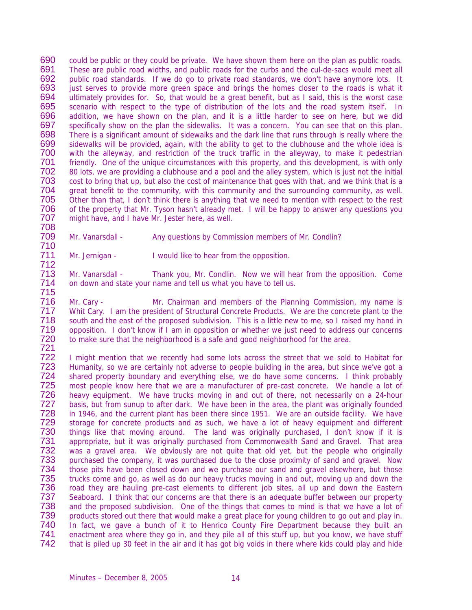690 could be public or they could be private. We have shown them here on the plan as public roads.<br>691 These are public road widths and public roads for the curbs and the cul-de-sacs would meet all 691 These are public road widths, and public roads for the curbs and the cul-de-sacs would meet all<br>692 bublic road standards. If we do go to private road standards, we don't have anymore lots. It public road standards. If we do go to private road standards, we don't have anymore lots. It 693 just serves to provide more green space and brings the homes closer to the roads is what it 694 ultimately provides for. So, that would be a great benefit, but as I said, this is the worst case ultimately provides for. So, that would be a great benefit, but as I said, this is the worst case 695 scenario with respect to the type of distribution of the lots and the road system itself. In<br>696 addition, we have shown on the plan, and it is a little harder to see on here, but we did 696 addition, we have shown on the plan, and it is a little harder to see on here, but we did<br>697 specifically show on the plan the sidewalks. It was a concern. You can see that on this plan. 697 specifically show on the plan the sidewalks. It was a concern. You can see that on this plan.<br>698 There is a significant amount of sidewalks and the dark line that runs through is really where the 698 There is a significant amount of sidewalks and the dark line that runs through is really where the 699 sidewalks will be provided, again, with the ability to get to the clubhouse and the whole idea is<br>700 with the alleyway, and restriction of the truck traffic in the alleyway, to make it pedestrian 700 with the alleyway, and restriction of the truck traffic in the alleyway, to make it pedestrian<br>701 Friendly One of the unique circumstances with this property and this development is with only 701 friendly. One of the unique circumstances with this property, and this development, is with only<br>702 80 lots, we are providing a clubhouse and a pool and the alley system, which is just not the initial 702 80 lots, we are providing a clubhouse and a pool and the alley system, which is just not the initial<br>703 cost to bring that up, but also the cost of maintenance that goes with that, and we think that is a 703 cost to bring that up, but also the cost of maintenance that goes with that, and we think that is a<br>704 great benefit to the community, with this community and the surrounding community, as well. 704 great benefit to the community, with this community and the surrounding community, as well.<br>705 Other than that, I don't think there is anything that we need to mention with respect to the rest 705 Other than that, I don't think there is anything that we need to mention with respect to the rest<br>706 of the property that Mr. Tyson hasn't already met. I will be happy to answer any questions you of the property that Mr. Tyson hasn't already met. I will be happy to answer any questions you 707 might have, and I have Mr. Jester here, as well.

708 Mr. Vanarsdall - Any questions by Commission members of Mr. Condlin?

710 Mr. Jernigan - I would like to hear from the opposition. 712

713 Mr. Vanarsdall - Thank you, Mr. Condlin. Now we will hear from the opposition. Come 714 on down and state your name and tell us what you have to tell us.

715 Mr. Cary - Mr. Chairman and members of the Planning Commission, my name is 717 Whit Cary. I am the president of Structural Concrete Products. We are the concrete plant to the 718 south and the east of the proposed subdivision. This is a little new to me, so I raised my hand in<br>719 opposition. I don't know if I am in opposition or whether we just need to address our concerns 719 opposition. I don't know if I am in opposition or whether we just need to address our concerns<br>720 to make sure that the neighborhood is a safe and good neighborhood for the area. to make sure that the neighborhood is a safe and good neighborhood for the area.

721 722 I might mention that we recently had some lots across the street that we sold to Habitat for<br>723 Humanity, so we are certainly not adverse to people building in the area, but since we've got a 723 Humanity, so we are certainly not adverse to people building in the area, but since we've got a<br>724 Shared property boundary and everything else, we do have some concerns. I think probably 724 shared property boundary and everything else, we do have some concerns. I think probably<br>725 most people know here that we are a manufacturer of pre-cast concrete. We handle a lot of 725 most people know here that we are a manufacturer of pre-cast concrete. We handle a lot of 726 heavy equipment. We have trucks moving in and out of there, not necessarily on a 24-hour heavy equipment. We have trucks moving in and out of there, not necessarily on a 24-hour 727 basis, but from sunup to after dark. We have been in the area, the plant was originally founded 728 in 1946, and the current plant has been there since 1951. We are an outside facility. We have 729 storage for concrete products and as such, we have a lot of heavy equipment and different 729 storage for concrete products and as such, we have a lot of heavy equipment and different<br>730 things like that moving around. The land was originally purchased, I don't know if it is 730 things like that moving around. The land was originally purchased, I don't know if it is<br>731 appropriate, but it was originally purchased from Commonwealth Sand and Gravel. That area 731 appropriate, but it was originally purchased from Commonwealth Sand and Gravel. That area<br>732 was a gravel area. We obviously are not quite that old vet, but the people who originally 732 was a gravel area. We obviously are not quite that old yet, but the people who originally<br>733 purchased the company, it was purchased due to the close proximity of sand and gravel. Now purchased the company, it was purchased due to the close proximity of sand and gravel. Now 734 those pits have been closed down and we purchase our sand and gravel elsewhere, but those<br>735 trucks come and go, as well as do our heavy trucks moving in and out, moving up and down the 735 trucks come and go, as well as do our heavy trucks moving in and out, moving up and down the 736 road they are hauling pre-cast elements to different job sites, all up and down the Eastern 736 road they are hauling pre-cast elements to different job sites, all up and down the Eastern<br>737 Seaboard. I think that our concerns are that there is an adequate buffer between our property Seaboard. I think that our concerns are that there is an adequate buffer between our property 738 and the proposed subdivision. One of the things that comes to mind is that we have a lot of 739 products stored out there that would make a great place for young children to go out and play in. 740 In fact, we gave a bunch of it to Henrico County Fire Department because they built an 741 enactment area where they go in, and they pile all of this stuff up, but you know, we have stuff 741 enactment area where they go in, and they pile all of this stuff up, but you know, we have stuff<br>742 that is piled up 30 feet in the air and it has got big voids in there where kids could play and hide that is piled up 30 feet in the air and it has got big voids in there where kids could play and hide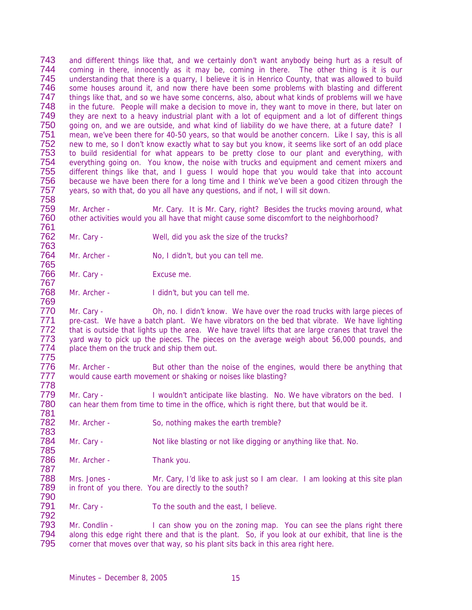743 and different things like that, and we certainly don't want anybody being hurt as a result of 744 coming in there innocently as it may be coming in there. The other thing is it is our 744 coming in there, innocently as it may be, coming in there. The other thing is it is our<br>745 understanding that there is a guarry. I believe it is in Henrico County, that was allowed to build understanding that there is a quarry, I believe it is in Henrico County, that was allowed to build 746 some houses around it, and now there have been some problems with blasting and different<br>747 things like that, and so we have some concerns, also, about what kinds of problems will we have 747 things like that, and so we have some concerns, also, about what kinds of problems will we have<br>748 in the future. People will make a decision to move in, they want to move in there, but later on 748 in the future. People will make a decision to move in, they want to move in there, but later on 749 they are next to a heavy industrial plant with a lot of equipment and a lot of different things 749 they are next to a heavy industrial plant with a lot of equipment and a lot of different things<br>750 a oping on, and we are outside, and what kind of liability do we have there, at a future date? I 750 going on, and we are outside, and what kind of liability do we have there, at a future date? I<br>751 mean, we've been there for 40-50 vears, so that would be another concern. Like I sav, this is all 751 mean, we've been there for 40-50 years, so that would be another concern. Like I say, this is all<br>752 new to me, so I don't know exactly what to say but you know, it seems like sort of an odd place 752 new to me, so I don't know exactly what to say but you know, it seems like sort of an odd place<br>753 to build residential for what appears to be pretty close to our plant and everything, with 753 to build residential for what appears to be pretty close to our plant and everything, with<br>754 everything going on. You know, the noise with trucks and equipment and cement mixers and 754 everything going on. You know, the noise with trucks and equipment and cement mixers and<br>755 different things like that, and I quess I would hope that you would take that into account different things like that, and I guess I would hope that you would take that into account 756 because we have been there for a long time and I think we've been a good citizen through the 757 vears, so with that, do you all have any questions, and if not, I will sit down. years, so with that, do you all have any questions, and if not, I will sit down.

758 759 Mr. Archer - Mr. Cary. It is Mr. Cary, right? Besides the trucks moving around, what 760 other activities would you all have that might cause some discomfort to the neighborhood?

- 761<br>762 Mr. Cary - Well, did you ask the size of the trucks?
- 763 Mr. Archer - No, I didn't, but you can tell me. 765
- 766 Mr. Cary Excuse me.

769

792

767<br>768 Mr. Archer - I didn't, but you can tell me.

770 Mr. Cary - Oh, no. I didn't know. We have over the road trucks with large pieces of 771 pre-cast. We have a batch plant. We have vibrators on the bed that vibrate. We have lighting 771 pre-cast. We have a batch plant. We have vibrators on the bed that vibrate. We have lighting<br>772 that is outside that lights up the area. We have travel lifts that are large cranes that travel the 772 that is outside that lights up the area. We have travel lifts that are large cranes that travel the<br>773 vard way to pick up the pieces. The pieces on the average weigh about 56,000 pounds, and 773 yard way to pick up the pieces. The pieces on the average weigh about 56,000 pounds, and 774 place them on the truck and ship them out. place them on the truck and ship them out.

775 Mr. Archer - But other than the noise of the engines, would there be anything that 777 would cause earth movement or shaking or noises like blasting? 778

779 Mr. Cary - I wouldn't anticipate like blasting. No. We have vibrators on the bed. I<br>780 can hear them from time to time in the office, which is right there, but that would be it. can hear them from time to time in the office, which is right there, but that would be it.

781 Mr. Archer - So, nothing makes the earth tremble?

783 Mr. Cary - Not like blasting or not like digging or anything like that. No.

785 Mr. Archer - Thank you.

787<br>788 788 Mrs. Jones - Mr. Cary, I'd like to ask just so I am clear. I am looking at this site plan<br>789 in front of you there. You are directly to the south? in front of you there. You are directly to the south? 790

791 Mr. Cary - To the south and the east, I believe.

793 Mr. Condlin - I can show you on the zoning map. You can see the plans right there<br>794 along this edge right there and that is the plant. So, if you look at our exhibit, that line is the 794 along this edge right there and that is the plant. So, if you look at our exhibit, that line is the 795 corner that moves over that way, so his plant sits back in this area right here. corner that moves over that way, so his plant sits back in this area right here.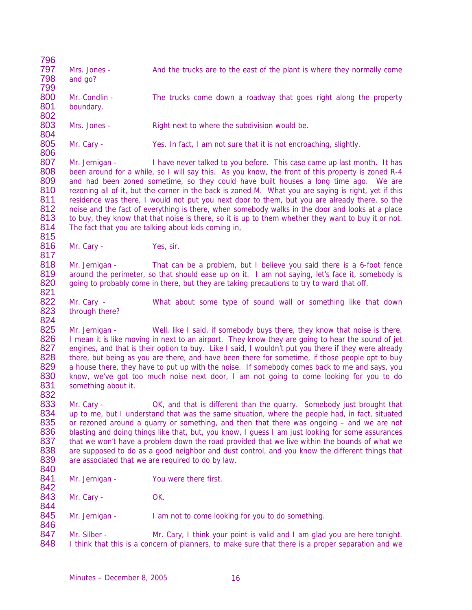| 796 |                     |                                                                                                      |
|-----|---------------------|------------------------------------------------------------------------------------------------------|
| 797 | Mrs. Jones -        | And the trucks are to the east of the plant is where they normally come                              |
| 798 | and go?             |                                                                                                      |
| 799 |                     |                                                                                                      |
| 800 | Mr. Condlin -       | The trucks come down a roadway that goes right along the property                                    |
| 801 | boundary.           |                                                                                                      |
| 802 |                     |                                                                                                      |
| 803 | Mrs. Jones -        | Right next to where the subdivision would be.                                                        |
| 804 |                     |                                                                                                      |
| 805 | Mr. Cary -          |                                                                                                      |
| 806 |                     | Yes. In fact, I am not sure that it is not encroaching, slightly.                                    |
|     |                     |                                                                                                      |
| 807 | Mr. Jernigan -      | I have never talked to you before. This case came up last month. It has                              |
| 808 |                     | been around for a while, so I will say this. As you know, the front of this property is zoned R-4    |
| 809 |                     | and had been zoned sometime, so they could have built houses a long time ago. We are                 |
| 810 |                     | rezoning all of it, but the corner in the back is zoned M. What you are saying is right, yet if this |
| 811 |                     | residence was there, I would not put you next door to them, but you are already there, so the        |
| 812 |                     | noise and the fact of everything is there, when somebody walks in the door and looks at a place      |
| 813 |                     | to buy, they know that that noise is there, so it is up to them whether they want to buy it or not.  |
| 814 |                     | The fact that you are talking about kids coming in,                                                  |
| 815 |                     |                                                                                                      |
| 816 | Mr. Cary -          | Yes, sir.                                                                                            |
| 817 |                     |                                                                                                      |
| 818 | Mr. Jernigan -      | That can be a problem, but I believe you said there is a 6-foot fence                                |
| 819 |                     | around the perimeter, so that should ease up on it. I am not saying, let's face it, somebody is      |
| 820 |                     | going to probably come in there, but they are taking precautions to try to ward that off.            |
| 821 |                     |                                                                                                      |
| 822 |                     |                                                                                                      |
|     | Mr. Cary -          | What about some type of sound wall or something like that down                                       |
| 823 | through there?      |                                                                                                      |
| 824 |                     |                                                                                                      |
| 825 | Mr. Jernigan -      | Well, like I said, if somebody buys there, they know that noise is there.                            |
| 826 |                     | I mean it is like moving in next to an airport. They know they are going to hear the sound of jet    |
| 827 |                     | engines, and that is their option to buy. Like I said, I wouldn't put you there if they were already |
| 828 |                     | there, but being as you are there, and have been there for sometime, if those people opt to buy      |
| 829 |                     | a house there, they have to put up with the noise. If somebody comes back to me and says, you        |
| 830 |                     | know, we've got too much noise next door, I am not going to come looking for you to do               |
| 831 | something about it. |                                                                                                      |
| 832 |                     |                                                                                                      |
| 833 | Mr. Cary -          | OK, and that is different than the quarry. Somebody just brought that                                |
| 834 |                     | up to me, but I understand that was the same situation, where the people had, in fact, situated      |
| 835 |                     | or rezoned around a quarry or something, and then that there was ongoing – and we are not            |
| 836 |                     |                                                                                                      |
|     |                     | blasting and doing things like that, but, you know, I guess I am just looking for some assurances    |
| 837 |                     | that we won't have a problem down the road provided that we live within the bounds of what we        |
| 838 |                     | are supposed to do as a good neighbor and dust control, and you know the different things that       |
| 839 |                     | are associated that we are required to do by law.                                                    |
| 840 |                     |                                                                                                      |
| 841 | Mr. Jernigan -      | You were there first.                                                                                |
| 842 |                     |                                                                                                      |
| 843 | Mr. Cary -          | OK.                                                                                                  |
| 844 |                     |                                                                                                      |
| 845 | Mr. Jernigan -      | I am not to come looking for you to do something.                                                    |
| 846 |                     |                                                                                                      |
| 847 | Mr. Silber -        | Mr. Cary, I think your point is valid and I am glad you are here tonight.                            |
| 848 |                     | I think that this is a concern of planners, to make sure that there is a proper separation and we    |
|     |                     |                                                                                                      |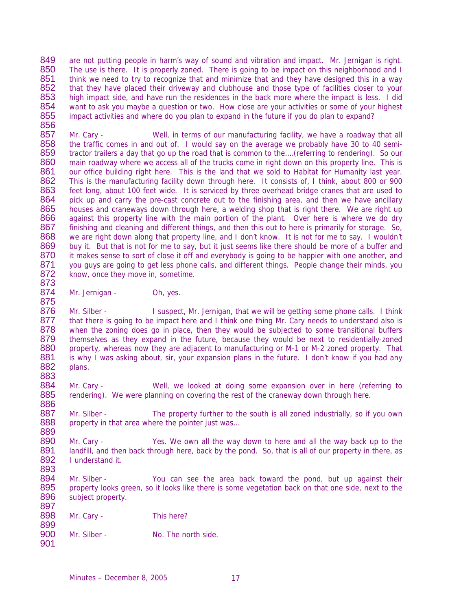849 are not putting people in harm's way of sound and vibration and impact. Mr. Jernigan is right.<br>850 The use is there It is properly zoned. There is going to be impact on this neighborhood and I 850 The use is there. It is properly zoned. There is going to be impact on this neighborhood and I<br>851 think we need to try to recognize that and minimize that and they have designed this in a way think we need to try to recognize that and minimize that and they have designed this in a way 852 that they have placed their driveway and clubhouse and those type of facilities closer to your<br>853 high impact side, and have run the residences in the back more where the impact is less. I did 853 high impact side, and have run the residences in the back more where the impact is less. I did<br>854 want to ask you maybe a question or two. How close are your activities or some of your highest 854 want to ask you maybe a question or two. How close are your activities or some of your highest 855 impact activities and where do you plan to expand in the future if you do plan to expand? impact activities and where do you plan to expand in the future if you do plan to expand?

856<br>857 857 Mr. Cary - Well, in terms of our manufacturing facility, we have a roadway that all<br>858 the traffic comes in and out of. I would say on the average we probably have 30 to 40 semi-858 the traffic comes in and out of. I would say on the average we probably have 30 to 40 semi-<br>859 tractor trailers a day that go up the road that is common to the....(referring to rendering). So our 859 tractor trailers a day that go up the road that is common to the....(referring to rendering). So our 860 main roadway where we access all of the trucks come in right down on this property line. This is 860 main roadway where we access all of the trucks come in right down on this property line. This is 861 our office building right here. This is the land that we sold to Habitat for Humanity last year. our office building right here. This is the land that we sold to Habitat for Humanity last year. 862 This is the manufacturing facility down through here. It consists of, I think, about 800 or 900<br>863 feet long, about 100 feet wide. It is serviced by three overhead bridge cranes that are used to 863 feet long, about 100 feet wide. It is serviced by three overhead bridge cranes that are used to 864 pick up and carry the pre-cast concrete out to the finishing area, and then we have ancillary 864 pick up and carry the pre-cast concrete out to the finishing area, and then we have ancillary<br>865 houses and craneways down through here, a welding shop that is right there. We are right up houses and craneways down through here, a welding shop that is right there. We are right up 866 against this property line with the main portion of the plant. Over here is where we do dry<br>867 finishing and cleaning and different things, and then this out to here is primarily for storage. So, 867 finishing and cleaning and different things, and then this out to here is primarily for storage. So, 868 we are right down along that property line, and I don't know. It is not for me to say. I wouldn't 868 we are right down along that property line, and I don't know. It is not for me to say. I wouldn't 869 buy it. But that is not for me to say, but it iust seems like there should be more of a buffer and 869 buy it. But that is not for me to say, but it just seems like there should be more of a buffer and 870 it makes sense to sort of close it off and everybody is going to be happier with one another, and 870 it makes sense to sort of close it off and everybody is going to be happier with one another, and 871 vou quys are going to get less phone calls, and different things. People change their minds, you 871 you guys are going to get less phone calls, and different things. People change their minds, you 872 know, once they move in, sometime. know, once they move in, sometime.

873 Mr. Jernigan - Oh, yes.

875 876 Mr. Silber - I suspect, Mr. Jernigan, that we will be getting some phone calls. I think<br>877 that there is going to be impact here and I think one thing Mr. Cary needs to understand also is 877 that there is going to be impact here and I think one thing Mr. Cary needs to understand also is 878 when the zoning does go in place, then they would be subjected to some transitional buffers 878 when the zoning does go in place, then they would be subjected to some transitional buffers<br>879 themselves as they expand in the future, because they would be next to residentially-zoned 879 themselves as they expand in the future, because they would be next to residentially-zoned<br>880 property, whereas now they are adiacent to manufacturing or M-1 or M-2 zoned property. That 880 property, whereas now they are adjacent to manufacturing or M-1 or M-2 zoned property. That 881 is why I was asking about, sir, your expansion plans in the future. I don't know if you had any 881 is why I was asking about, sir, your expansion plans in the future. I don't know if you had any 882 plans. plans.

883 884 Mr. Cary - Well, we looked at doing some expansion over in here (referring to 885 rendering). We were planning on covering the rest of the craneway down through here. rendering). We were planning on covering the rest of the craneway down through here. 886

887 Mr. Silber - The property further to the south is all zoned industrially, so if you own<br>888 property in that area where the pointer just was... property in that area where the pointer just was...

889 890 Mr. Cary - Yes. We own all the way down to here and all the way back up to the 891 I and then back through here, back by the pond. So, that is all of our property in there, as 891 landfill, and then back through here, back by the pond. So, that is all of our property in there, as 892 lunderstand it 892 I understand it.

893 894 Mr. Silber - You can see the area back toward the pond, but up against their<br>895 property looks green, so it looks like there is some vegetation back on that one side, next to the property looks green, so it looks like there is some vegetation back on that one side, next to the 896 subject property. 897

898 Mr. Cary - This here?

901

899 Mr. Silber - No. The north side.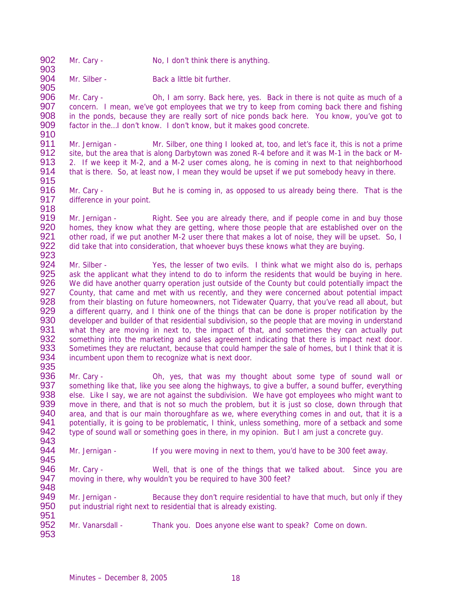- 902 Mr. Cary No, I don't think there is anything.
- 903 Mr. Silber - Back a little bit further.

905 Mr. Cary - Oh, I am sorry. Back here, yes. Back in there is not quite as much of a 907 concern. I mean, we've got employees that we try to keep from coming back there and fishing 908 in the ponds, because they are really sort of nice ponds back here. You know, you've got to 909 factor in the... I don't know. I don't know, but it makes good concrete.

910<br>911 911 Mr. Jernigan - Mr. Silber, one thing I looked at, too, and let's face it, this is not a prime<br>912 site, but the area that is along Darbytown was zoned R-4 before and it was M-1 in the back or M-912 site, but the area that is along Darbytown was zoned R-4 before and it was M-1 in the back or M-<br>913 2. If we keep it M-2, and a M-2 user comes along, he is coming in next to that neighborhood 913 2. If we keep it M-2, and a M-2 user comes along, he is coming in next to that neighborhood<br>914 that is there. So, at least now. I mean they would be upset if we put somebody heavy in there. that is there. So, at least now, I mean they would be upset if we put somebody heavy in there.

915<br>916 916 Mr. Cary - But he is coming in, as opposed to us already being there. That is the 917 difference in vour point. difference in your point. 918

919 Mr. Jernigan - Right. See you are already there, and if people come in and buy those<br>920 homes, they know what they are getting, where those people that are established over on the 920 homes, they know what they are getting, where those people that are established over on the 921 other road, if we put another M-2 user there that makes a lot of noise, they will be upset. So, I 921 other road, if we put another M-2 user there that makes a lot of noise, they will be upset. So, I<br>922 olid take that into consideration, that whoever buys these knows what they are buying. did take that into consideration, that whoever buys these knows what they are buying.

- 923<br>924 924 Mr. Silber - Yes, the lesser of two evils. I think what we might also do is, perhaps<br>925 ask the applicant what they intend to do to inform the residents that would be buying in here. ask the applicant what they intend to do to inform the residents that would be buying in here. 926 We did have another quarry operation just outside of the County but could potentially impact the 927 County, that came and met with us recently, and they were concerned about potential impact 927 County, that came and met with us recently, and they were concerned about potential impact<br>928 From their blasting on future homeowners, not Tidewater Quarry, that you've read all about, but 928 from their blasting on future homeowners, not Tidewater Quarry, that you've read all about, but 929 a different quarry, and I think one of the things that can be done is proper notification by the a different quarry, and I think one of the things that can be done is proper notification by the 930 developer and builder of that residential subdivision, so the people that are moving in understand<br>931 what they are moving in next to, the impact of that, and sometimes they can actually put 931 what they are moving in next to, the impact of that, and sometimes they can actually put 932 something into the marketing and sales agreement indicating that there is impact next door. 932 something into the marketing and sales agreement indicating that there is impact next door.<br>933 Sometimes they are reluctant, because that could hamper the sale of homes, but I think that it is 933 Sometimes they are reluctant, because that could hamper the sale of homes, but I think that it is 934 incumbent upon them to recognize what is next door. incumbent upon them to recognize what is next door. 935
- 936 Mr. Cary Oh, yes, that was my thought about some type of sound wall or 937 something like that, like you see along the highways, to give a buffer, a sound buffer, everything something like that, like you see along the highways, to give a buffer, a sound buffer, everything 938 else. Like I say, we are not against the subdivision. We have got employees who might want to 939 move in there, and that is not so much the problem, but it is just so close, down through that move in there, and that is not so much the problem, but it is just so close, down through that 940 area, and that is our main thoroughfare as we, where everything comes in and out, that it is a 941 potentially, it is going to be problematic, I think, unless something, more of a setback and some 942 type of sound wall or something goes in there, in my opinion. But I am just a concrete guy. type of sound wall or something goes in there, in my opinion. But I am just a concrete guy.
- 943<br>944 Mr. Jernigan - If you were moving in next to them, you'd have to be 300 feet away.
- 945<br>946 946 Mr. Cary - Well, that is one of the things that we talked about. Since you are 947 moving in there, why wouldn't you be required to have 300 feet? moving in there, why wouldn't you be required to have 300 feet?
- 948<br>949 Mr. Jernigan - Because they don't require residential to have that much, but only if they 950 put industrial right next to residential that is already existing. 951
- 952 Mr. Vanarsdall Thank you. Does anyone else want to speak? Come on down.
- 953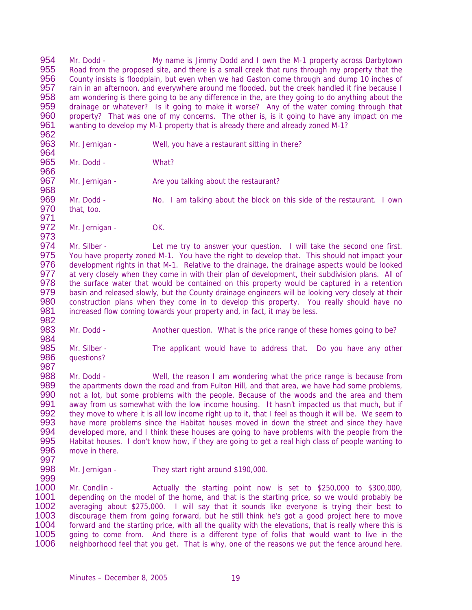954 Mr. Dodd - My name is Jimmy Dodd and I own the M-1 property across Darbytown<br>955 Road from the proposed site and there is a small creek that runs through my property that the 955 Road from the proposed site, and there is a small creek that runs through my property that the 956 County insists is floodplain, but even when we had Gaston come through and dump 10 inches of County insists is floodplain, but even when we had Gaston come through and dump 10 inches of 957 rain in an afternoon, and everywhere around me flooded, but the creek handled it fine because I<br>958 am wondering is there going to be any difference in the, are they going to do anything about the 958 am wondering is there going to be any difference in the, are they going to do anything about the 959 drainage or whatever? Is it going to make it worse? Any of the water coming through that 959 drainage or whatever? Is it going to make it worse? Any of the water coming through that 960 property? That was one of my concerns. The other is, is it going to have any impact on me 960 property? That was one of my concerns. The other is, is it going to have any impact on me<br>961 wanting to develop my M-1 property that is already there and already zoned M-1? wanting to develop my M-1 property that is already there and already zoned M-1?

- 962<br>963 Mr. Jernigan - Well, you have a restaurant sitting in there?
- 964<br>965 Mr. Dodd - What?
- 967 Mr. Jernigan Are you talking about the restaurant?
- 968 969 Mr. Dodd - No. I am talking about the block on this side of the restaurant. I own<br>970 that, too. that, too.
- 971<br>972 Mr. Jernigan - OK.

973 974 Mr. Silber - Let me try to answer your question. I will take the second one first.<br>975 You have property zoned M-1. You have the right to develop that. This should not impact your 975 You have property zoned M-1. You have the right to develop that. This should not impact your<br>976 development rights in that M-1. Relative to the drainage the drainage aspects would be looked development rights in that M-1. Relative to the drainage, the drainage aspects would be looked 977 at very closely when they come in with their plan of development, their subdivision plans. All of 978 the surface water that would be contained on this property would be captured in a retention<br>979 basin and released slowly, but the County drainage engineers will be looking very closely at their basin and released slowly, but the County drainage engineers will be looking very closely at their 980 construction plans when they come in to develop this property. You really should have no 981 increased flow coming towards your property and, in fact, it may be less.

- 982<br>983 Mr. Dodd - Another question. What is the price range of these homes going to be?
- 984<br>985 985 Mr. Silber - The applicant would have to address that. Do you have any other 986 questions? questions? 987
- 988 Mr. Dodd Well, the reason I am wondering what the price range is because from<br>989 the apartments down the road and from Fulton Hill, and that area, we have had some problems, 989 the apartments down the road and from Fulton Hill, and that area, we have had some problems,<br>990 not a lot, but some problems with the people. Because of the woods and the area and them 990 not a lot, but some problems with the people. Because of the woods and the area and them<br>991 away from us somewhat with the low income housing. It hasn't impacted us that much, but if away from us somewhat with the low income housing. It hasn't impacted us that much, but if 992 they move to where it is all low income right up to it, that I feel as though it will be. We seem to 993 have more problems since the Habitat houses moved in down the street and since they have 993 have more problems since the Habitat houses moved in down the street and since they have 994 developed more, and I think these houses are going to have problems with the people from the 994 developed more, and I think these houses are going to have problems with the people from the 995 Habitat houses. I don't know how, if they are going to get a real high class of people wanting to 995 Habitat houses. I don't know how, if they are going to get a real high class of people wanting to <br>996 move in there. move in there.
- 997

966

998 Mr. Jernigan - They start right around \$190,000.

999 Mr. Condlin - Actually the starting point now is set to \$250,000 to \$300,000, 1001 depending on the model of the home, and that is the starting price, so we would probably be 1002 averaging about \$275,000. I will say that it sounds like everyone is trying their best to 1003 discourage them from going forward, but he still think he's got a good project here to move 1004 forward and the starting price, with all the quality with the elevations, that is really where this is<br>1005 aoing to come from. And there is a different type of folks that would want to live in the 1005 going to come from. And there is a different type of folks that would want to live in the 1006 neighborhood feel that you get. That is why, one of the reasons we put the fence around here. neighborhood feel that you get. That is why, one of the reasons we put the fence around here.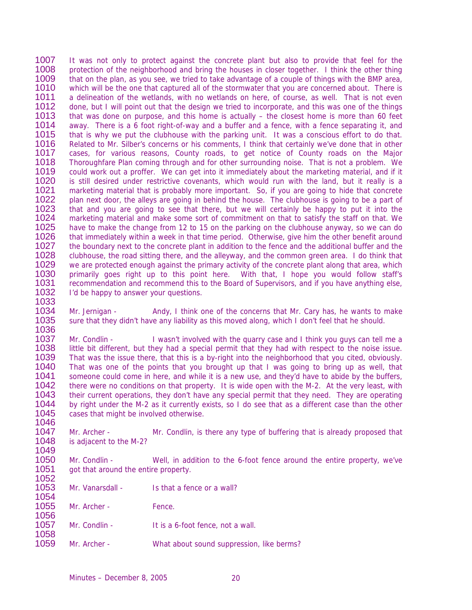1007 It was not only to protect against the concrete plant but also to provide that feel for the 1008 protection of the neighborhood and bring the houses in closer together. I think the other thing 1008 protection of the neighborhood and bring the houses in closer together. I think the other thing 1009 that on the plan, as you see, we tried to take advantage of a couple of things with the BMP area. that on the plan, as you see, we tried to take advantage of a couple of things with the BMP area, 1010 which will be the one that captured all of the stormwater that you are concerned about. There is 1011 a delineation of the wetlands, with no wetlands on here, of course, as well. That is not even a delineation of the wetlands, with no wetlands on here, of course, as well. That is not even 1012 done, but I will point out that the design we tried to incorporate, and this was one of the things 1013 that was done on purpose, and this home is actually – the closest home is more than 60 feet 1013 that was done on purpose, and this home is actually – the closest home is more than 60 feet 1014 away. There is a 6 foot right-of-way and a buffer and a fence, with a fence separating it, and 1014 away. There is a 6 foot right-of-way and a buffer and a fence, with a fence separating it, and 1015 that is why we put the clubbouse with the parking unit. It was a conscious effort to do that. 1015 that is why we put the clubhouse with the parking unit. It was a conscious effort to do that.<br>1016 Related to Mr. Silber's concerns or his comments. I think that certainly we've done that in other 1016 Related to Mr. Silber's concerns or his comments, I think that certainly we've done that in other<br>1017 Leases For various reasons. County roads, to get notice of County roads on the Major 1017 cases, for various reasons, County roads, to get notice of County roads on the Major<br>1018 Thoroughfare Plan coming through and for other surrounding noise. That is not a problem. We 1018 Thoroughfare Plan coming through and for other surrounding noise. That is not a problem. We<br>1019 could work out a proffer. We can get into it immediately about the marketing material, and if it could work out a proffer. We can get into it immediately about the marketing material, and if it 1020 is still desired under restrictive covenants, which would run with the land, but it really is a<br>1021 marketing material that is probably more important. So, if you are going to hide that concrete 1021 marketing material that is probably more important. So, if you are going to hide that concrete<br>1022 – plan next door, the alleys are going in behind the house. The clubhouse is going to be a part of 1022 plan next door, the alleys are going in behind the house. The clubhouse is going to be a part of 1023 that and you are going to see that there, but we will certainly be happy to put it into the that and you are going to see that there, but we will certainly be happy to put it into the 1024 marketing material and make some sort of commitment on that to satisfy the staff on that. We<br>1025 have to make the change from 12 to 15 on the parking on the clubhouse anyway, so we can do 1025 have to make the change from 12 to 15 on the parking on the clubhouse anyway, so we can do<br>1026 that immediately within a week in that time period. Otherwise, give him the other benefit around 1026 that immediately within a week in that time period. Otherwise, give him the other benefit around<br>1027 the boundary next to the concrete plant in addition to the fence and the additional buffer and the 1027 the boundary next to the concrete plant in addition to the fence and the additional buffer and the 1028 clubhouse, the road sitting there, and the alleyway, and the common green area. I do think that 1028 clubhouse, the road sitting there, and the alleyway, and the common green area. I do think that 1029 we are protected enough against the primary activity of the concrete plant along that area which 1029 we are protected enough against the primary activity of the concrete plant along that area, which<br>1030 primarily goes right up to this point here. With that, I hope you would follow staff's primarily goes right up to this point here. With that, I hope you would follow staff's 1031 recommendation and recommend this to the Board of Supervisors, and if you have anything else,<br>1032 l'd be happy to answer your questions. I'd be happy to answer your questions.

1033<br>1034 Mr. Jernigan - Andy, I think one of the concerns that Mr. Cary has, he wants to make 1035 sure that they didn't have any liability as this moved along, which I don't feel that he should.

1036 1037 Mr. Condlin - I wasn't involved with the quarry case and I think you guys can tell me a<br>1038 little bit different, but they had a special permit that they had with respect to the noise issue. 1038 little bit different, but they had a special permit that they had with respect to the noise issue.<br>1039 That was the issue there, that this is a by-right into the neighborhood that you cited, obviously. 1039 That was the issue there, that this is a by-right into the neighborhood that you cited, obviously.<br>1040 That was one of the points that you brought up that I was going to bring up as well, that That was one of the points that you brought up that I was going to bring up as well, that 1041 someone could come in here, and while it is a new use, and they'd have to abide by the buffers,<br>1042 there were no conditions on that property. It is wide open with the M-2. At the very least, with 1042 there were no conditions on that property. It is wide open with the M-2. At the very least, with 1043 their current operations, they don't have any special permit that they need. They are operating 1043 their current operations, they don't have any special permit that they need. They are operating 1044 by right under the M-2 as it currently exists, so I do see that as a different case than the other by right under the M-2 as it currently exists, so I do see that as a different case than the other 1045 cases that might be involved otherwise.

1046<br>1047 1047 Mr. Archer - Mr. Condlin, is there any type of buffering that is already proposed that 1048 is adiacent to the M-2? is adjacent to the M-2?

1049<br>1050 1050 Mr. Condlin - Well, in addition to the 6-foot fence around the entire property, we've 1051 got that around the entire property. got that around the entire property.

1052 Mr. Vanarsdall - Is that a fence or a wall?

1055 Mr. Archer - Fence.

1054

- 1057 Mr. Condlin It is a 6-foot fence, not a wall.
- 1058<br>1059 Mr. Archer - What about sound suppression, like berms?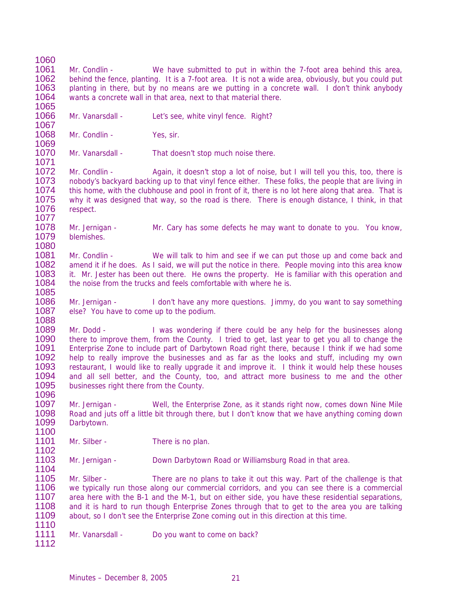1060<br>1061

1061 Mr. Condlin - We have submitted to put in within the 7-foot area behind this area, 1062 behind the fence, planting. It is a 7-foot area. It is not a wide area, obviously, but you could put behind the fence, planting. It is a 7-foot area. It is not a wide area, obviously, but you could put 1063 planting in there, but by no means are we putting in a concrete wall. I don't think anybody vants a concrete wall in that area, next to that material there. wants a concrete wall in that area, next to that material there.

1065<br>1066 Mr. Vanarsdall - Let's see, white vinyl fence. Right?

1068 Mr. Condlin - Yes, sir.

1069<br>1070 Mr. Vanarsdall - That doesn't stop much noise there.

1071 Mr. Condlin - Again, it doesn't stop a lot of noise, but I will tell you this, too, there is 1073 nobody's backyard backing up to that vinyl fence either. These folks, the people that are living in 1074 this home, with the clubhouse and pool in front of it, there is no lot here along that area. That is 1074 this home, with the clubhouse and pool in front of it, there is no lot here along that area. That is<br>1075 why it was designed that way, so the road is there. There is enough distance. I think, in that 1075 why it was designed that way, so the road is there. There is enough distance, I think, in that 1076 respect. respect.

1077 1078 Mr. Jernigan - Mr. Cary has some defects he may want to donate to you. You know,<br>1079 blemishes. blemishes.

1080 1081 Mr. Condlin - We will talk to him and see if we can put those up and come back and 1082 amend it if he does. As I said we will put the notice in there. People moving into this area know amend it if he does. As I said, we will put the notice in there. People moving into this area know 1083 it. Mr. Jester has been out there. He owns the property. He is familiar with this operation and 1084 the noise from the trucks and feels comfortable with where he is.

1085 1086 Mr. Jernigan - I don't have any more questions. Jimmy, do you want to say something 1087 else? You have to come up to the podium. else? You have to come up to the podium.

1088 1089 Mr. Dodd - I was wondering if there could be any help for the businesses along<br>1090 there to improve them, from the County. I tried to get, last year to get you all to change the 1090 there to improve them, from the County. I tried to get, last year to get you all to change the 1091 Enterprise Zone to include part of Darbytown Road right there, because I think if we had some 1091 Enterprise Zone to include part of Darbytown Road right there, because I think if we had some<br>1092 belp to really improve the businesses and as far as the looks and stuff including my own 1092 help to really improve the businesses and as far as the looks and stuff, including my own<br>1093 restaurant. I would like to really upgrade it and improve it. I think it would help these houses restaurant, I would like to really upgrade it and improve it. I think it would help these houses 1094 and all sell better, and the County, too, and attract more business to me and the other 1095 businesses right there from the County. businesses right there from the County.

1096<br>1097 Mr. Jernigan - Well, the Enterprise Zone, as it stands right now, comes down Nine Mile Road and juts off a little bit through there, but I don't know that we have anything coming down Darbytown.

1100 Mr. Silber - There is no plan.

1102<br>1103 Mr. Jernigan - Down Darbytown Road or Williamsburg Road in that area.

1104 Mr. Silber - There are no plans to take it out this way. Part of the challenge is that 1106 we typically run those along our commercial corridors, and you can see there is a commercial 1107 area here with the B-1 and the M-1, but on either side, you have these residential separations, 1108 and it is hard to run though Enterprise Zones through that to get to the area you are talking 1109 about, so I don't see the Enterprise Zone coming out in this direction at this time.

1110 Mr. Vanarsdall - Do you want to come on back?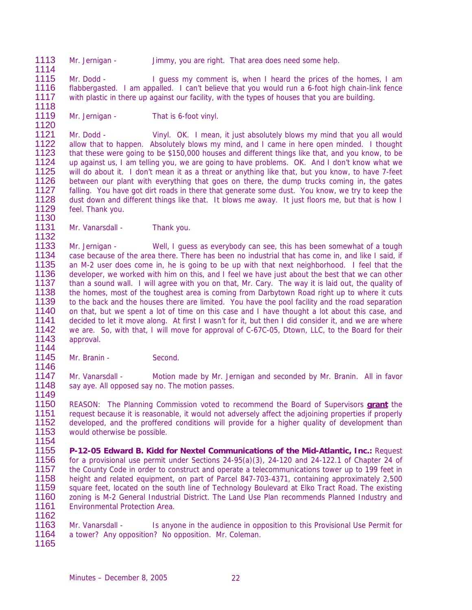- 1113 Mr. Jernigan Jimmy, you are right. That area does need some help.
- 1114 Mr. Dodd - I guess my comment is, when I heard the prices of the homes, I am 1116 flabbergasted. I am appalled. I can't believe that you would run a 6-foot high chain-link fence<br>1117 with plastic in there up against our facility, with the types of houses that you are building. with plastic in there up against our facility, with the types of houses that you are building.
- 1118 Mr. Jernigan - That is 6-foot vinyl.

1120 1121 Mr. Dodd - Vinyl. OK. I mean, it just absolutely blows my mind that you all would<br>1122 allow that to happen. Absolutely blows my mind, and I came in here open minded. I thought 1122 allow that to happen. Absolutely blows my mind, and I came in here open minded. I thought 1123 that these were going to be \$150,000 houses and different things like that, and you know, to be 1123 that these were going to be \$150,000 houses and different things like that, and you know, to be 1124 up against us. I am telling you, we are going to have problems. OK. And I don't know what we 1124 up against us, I am telling you, we are going to have problems. OK. And I don't know what we<br>1125 will do about it. I don't mean it as a threat or anything like that, but you know, to have 7-feet 1125 will do about it. I don't mean it as a threat or anything like that, but you know, to have 7-feet 1126 between our plant with everything that goes on there, the dump trucks coming in, the gates 1126 between our plant with everything that goes on there, the dump trucks coming in, the gates<br>1127 falling. You have got dirt roads in there that generate some dust. You know, we try to keep the 1127 falling. You have got dirt roads in there that generate some dust. You know, we try to keep the 1128 dust down and different things like that. It blows me away. It just floors me, but that is how I 1128 dust down and different things like that. It blows me away. It just floors me, but that is how I<br>1129 feel. Thank you. feel. Thank you.

1130 Mr. Vanarsdall - Thank you.

1132 1133 Mr. Jernigan - Well, I guess as everybody can see, this has been somewhat of a tough<br>1134 case because of the area there. There has been no industrial that has come in, and like I said, if 1134 case because of the area there. There has been no industrial that has come in, and like I said, if<br>1135 an M-2 user does come in the is going to be up with that next neighborhood. I feel that the 1135 an M-2 user does come in, he is going to be up with that next neighborhood. I feel that the 1136 developer, we worked with him on this, and I feel we have just about the best that we can other developer, we worked with him on this, and I feel we have just about the best that we can other 1137 than a sound wall. I will agree with you on that, Mr. Cary. The way it is laid out, the quality of 1138 the homes, most of the toughest area is coming from Darbytown Road right up to where it cuts 1138 the homes, most of the toughest area is coming from Darbytown Road right up to where it cuts<br>1139 to the back and the houses there are limited. You have the pool facility and the road separation to the back and the houses there are limited. You have the pool facility and the road separation 1140 on that, but we spent a lot of time on this case and I have thought a lot about this case, and<br>1141 decided to let it move along. At first I wasn't for it, but then I did consider it, and we are where 1141 decided to let it move along. At first I wasn't for it, but then I did consider it, and we are where<br>1142 we are. So, with that, I will move for approval of C-67C-05. Dtown, LLC, to the Board for their 1142 we are. So, with that, I will move for approval of C-67C-05, Dtown, LLC, to the Board for their 1143 approval. approval.

1144 Mr. Branin - Second.

1146

1162

1147 Mr. Vanarsdall - Motion made by Mr. Jernigan and seconded by Mr. Branin. All in favor<br>1148 say aye. All opposed say no. The motion passes. say aye. All opposed say no. The motion passes.

1149 1150 REASON: The Planning Commission voted to recommend the Board of Supervisors **grant** the 1151 request because it is reasonable, it would not adversely affect the adjoining properties if properly<br>1152 developed, and the proffered conditions will provide for a higher quality of development than 1152 developed, and the proffered conditions will provide for a higher quality of development than 1153 would otherwise be possible. would otherwise be possible.

- 1154<br>1155 1155 **P-12-05 Edward B. Kidd for Nextel Communications of the Mid-Atlantic, Inc.:** Request for a provisional use permit under Sections  $24-95(a)(3)$ ,  $24-120$  and  $24-122.1$  of Chapter 24 of 1157 the County Code in order to construct and operate a telecommunications tower up to 199 feet in<br>1158 height and related equipment, on part of Parcel 847-703-4371, containing approximately 2,500 1158 height and related equipment, on part of Parcel 847-703-4371, containing approximately 2,500<br>1159 square feet, located on the south line of Technology Boulevard at Elko Tract Road. The existing 1159 square feet, located on the south line of Technology Boulevard at Elko Tract Road. The existing<br>1160 zoning is M-2 General Industrial District. The Land Use Plan recommends Planned Industry and zoning is M-2 General Industrial District. The Land Use Plan recommends Planned Industry and 1161 Environmental Protection Area.
- 1163 Mr. Vanarsdall Is anyone in the audience in opposition to this Provisional Use Permit for 1164 a tower? Any opposition? No opposition. Mr. Coleman. a tower? Any opposition? No opposition. Mr. Coleman. 1165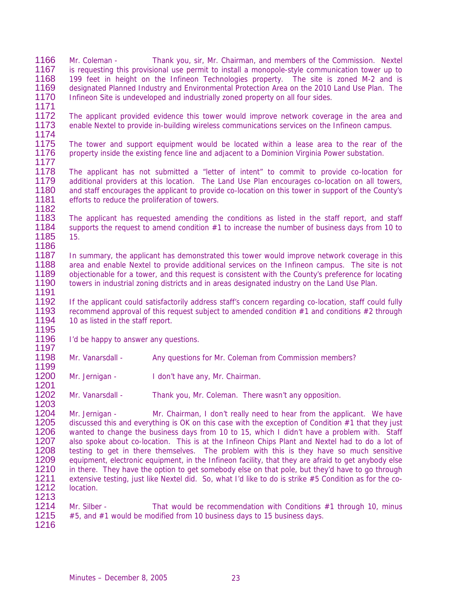1166 Mr. Coleman - Thank you, sir, Mr. Chairman, and members of the Commission. Nextel<br>1167 is requesting this provisional use permit to install a monopole-style communication tower up to is requesting this provisional use permit to install a monopole-style communication tower up to 1168 199 feet in height on the Infineon Technologies property. The site is zoned M-2 and is 1169 designated Planned Industry and Environmental Protection Area on the 2010 Land Use Plan. The 1169 designated Planned Industry and Environmental Protection Area on the 2010 Land Use Plan. The 1170 Infineon Site is undeveloped and industrially zoned property on all four sides. Infineon Site is undeveloped and industrially zoned property on all four sides.

1171 1172 The applicant provided evidence this tower would improve network coverage in the area and 1173 enable Nextel to provide in-building wireless communications services on the Infineon campus. enable Nextel to provide in-building wireless communications services on the Infineon campus.

1174 1175 The tower and support equipment would be located within a lease area to the rear of the 1176 property inside the existing fence line and adiacent to a Dominion Virginia Power substation. property inside the existing fence line and adjacent to a Dominion Virginia Power substation.

1177 1178 The applicant has not submitted a "letter of intent" to commit to provide co-location for 1179 additional providers at this location. The Land Use Plan encourages co-location on all towers. 1179 additional providers at this location. The Land Use Plan encourages co-location on all towers,<br>1180 and staff encourages the applicant to provide co-location on this tower in support of the County's and staff encourages the applicant to provide co-location on this tower in support of the County's 1181 efforts to reduce the proliferation of towers. 1182

1183 The applicant has requested amending the conditions as listed in the staff report, and staff<br>1184 supports the request to amend condition #1 to increase the number of business days from 10 to supports the request to amend condition  $#1$  to increase the number of business days from 10 to 1185 15.

1186<br>1187 1187 In summary, the applicant has demonstrated this tower would improve network coverage in this<br>1188 area and enable Nextel to provide additional services on the Infineon campus. The site is not area and enable Nextel to provide additional services on the Infineon campus. The site is not 1189 objectionable for a tower, and this request is consistent with the County's preference for locating 1190 towers in industrial zoning districts and in areas designated industry on the Land Use Plan. 1191

1192 If the applicant could satisfactorily address staff's concern regarding co-location, staff could fully 1193 recommend approval of this request subject to amended condition #1 and conditions #2 through 1194 10 as listed in the staff report.

- 1195 I'd be happy to answer any questions.
- 1197 Mr. Vanarsdall - Any questions for Mr. Coleman from Commission members? 1199
- 1200 Mr. Jernigan I don't have any, Mr. Chairman. 1201

1202 Mr. Vanarsdall - Thank you, Mr. Coleman. There wasn't any opposition.

1204 Mr. Jernigan - Mr. Chairman, I don't really need to hear from the applicant. We have 1205 discussed this and everything is OK on this case with the exception of Condition #1 that they just 1206 wanted to change the business days from 10 to 15, which I didn't have a problem with. Staff 1206 wanted to change the business days from 10 to 15, which I didn't have a problem with. Staff 1207 also spoke about co-location. This is at the Infineon Chips Plant and Nextel had to do a lot of 1207 also spoke about co-location. This is at the Infineon Chips Plant and Nextel had to do a lot of 1208 testing to get in there themselves. The problem with this is they have so much sensitive testing to get in there themselves. The problem with this is they have so much sensitive 1209 equipment, electronic equipment, in the Infineon facility, that they are afraid to get anybody else 1210 in there. They have the option to get somebody else on that pole, but they'd have to go through 1211 extensive testing, just like Nextel did. So, what I'd like to do is strike #5 Condition as for the co-1211 extensive testing, just like Nextel did. So, what I'd like to do is strike #5 Condition as for the co-<br>1212 Iocation. location. 1213

- 1214 Mr. Silber That would be recommendation with Conditions #1 through 10, minus 1215 #5, and #1 would be modified from 10 business days to 15 business days.
- 1216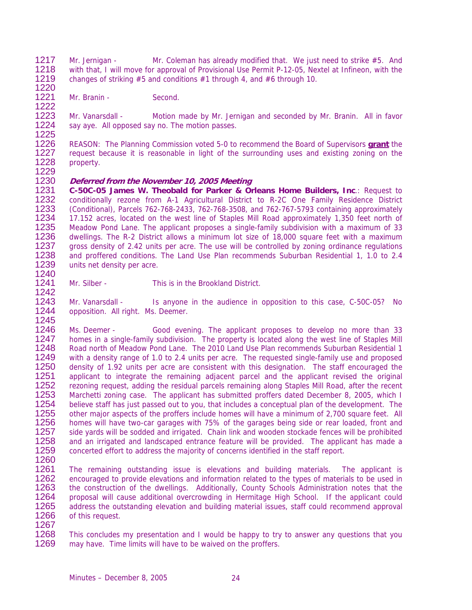- 1217 Mr. Jernigan Mr. Coleman has already modified that. We just need to strike #5. And<br>1218 with that I will move for approval of Provisional Use Permit P-12-05 Nextel at Infineon with the 1218 with that, I will move for approval of Provisional Use Permit P-12-05, Nextel at Infineon, with the 1219 changes of striking #5 and conditions #1 through 4, and #6 through 10. changes of striking  $#5$  and conditions  $#1$  through 4, and  $#6$  through 10.
- 1220 Mr. Branin - Second.

1222 1223 Mr. Vanarsdall - Motion made by Mr. Jernigan and seconded by Mr. Branin. All in favor 1224 say ave. All opposed say no. The motion passes. say aye. All opposed say no. The motion passes.

1225 1226 REASON: The Planning Commission voted 5-0 to recommend the Board of Supervisors **grant** the 1227 request because it is reasonable in light of the surrounding uses and existing zoning on the 1228 property. property.

1229

## 1230 **Deferred from the November 10, 2005 Meeting**

1231 **C-50C-05 James W. Theobald for Parker & Orleans Home Builders, Inc**.: Request to 1232 conditionally rezone from A-1 Agricultural District to R-2C One Family Residence District 1233 (Conditional) Parcels 762-768-2433 762-768-3508 and 762-767-5793 containing approximately 1233 (Conditional), Parcels 762-768-2433, 762-768-3508, and 762-767-5793 containing approximately 1234 17.152 acres, located on the west line of Staples Mill Road approximately 1,350 feet north of 1235 Meadow Pond Lane. The applicant proposes a single-family subdivision with a maximum of 33 1235 Meadow Pond Lane. The applicant proposes a single-family subdivision with a maximum of 33<br>1236 dwellings. The R-2 District allows a minimum lot size of 18,000 square feet with a maximum 1236 dwellings. The R-2 District allows a minimum lot size of 18,000 square feet with a maximum<br>1237 aross density of 2.42 units per acre. The use will be controlled by zoning ordinance regulations 1237 gross density of 2.42 units per acre. The use will be controlled by zoning ordinance regulations<br>1238 and proffered conditions. The Land Use Plan recommends Suburban Residential 1, 1.0 to 2.4 1238 and proffered conditions. The Land Use Plan recommends Suburban Residential 1, 1.0 to 2.4<br>1239 units net density per acre units net density per acre.

1240

1241 Mr. Silber - This is in the Brookland District.

1242 1243 Mr. Vanarsdall - Is anyone in the audience in opposition to this case, C-50C-05? No<br>1244 Iopposition, All right, Ms. Deemer. opposition. All right. Ms. Deemer.

1245 1246 Ms. Deemer - Good evening. The applicant proposes to develop no more than 33<br>1247 homes in a single-family subdivision. The property is located along the west line of Staples Mill 1247 homes in a single-family subdivision. The property is located along the west line of Staples Mill<br>1248 Road north of Meadow Pond Lane. The 2010 Land Use Plan recommends Suburban Residential 1 1248 Road north of Meadow Pond Lane. The 2010 Land Use Plan recommends Suburban Residential 1<br>1249 With a density range of 1.0 to 2.4 units per acre. The requested single-family use and proposed 1249 with a density range of 1.0 to 2.4 units per acre. The requested single-family use and proposed<br>1250 density of 1.92 units per acre are consistent with this designation. The staff encouraged the 1250 density of 1.92 units per acre are consistent with this designation. The staff encouraged the 1251 applicant to integrate the remaining adiacent parcel and the applicant revised the original 1251 applicant to integrate the remaining adjacent parcel and the applicant revised the original<br>1252 rezoning request, adding the residual parcels remaining along Staples Mill Road, after the recent 1252 rezoning request, adding the residual parcels remaining along Staples Mill Road, after the recent 1253 Marchetti zoning case. The applicant has submitted proffers dated December 8, 2005, which I 1253 Marchetti zoning case. The applicant has submitted proffers dated December 8, 2005, which I<br>1254 believe staff has just passed out to you, that includes a conceptual plan of the development. The believe staff has just passed out to you, that includes a conceptual plan of the development. The 1255 other major aspects of the proffers include homes will have a minimum of 2,700 square feet. All 1256 homes will have two-car garages with 75% of the garages being side or rear loaded, front and 1256 homes will have two-car garages with 75% of the garages being side or rear loaded, front and 1257 side yards will be sodded and irrigated. Chain link and wooden stockade fences will be prohibited 1257 side yards will be sodded and irrigated. Chain link and wooden stockade fences will be prohibited<br>1258 and an irrigated and landscaped entrance feature will be provided. The applicant has made a 1258 and an irrigated and landscaped entrance feature will be provided. The applicant has made a<br>1259 concerted effort to address the maiority of concerns identified in the staff report. concerted effort to address the majority of concerns identified in the staff report.

- 1260
- 1261 The remaining outstanding issue is elevations and building materials. The applicant is 1262 encouraged to provide elevations and information related to the types of materials to be used in 1262 encouraged to provide elevations and information related to the types of materials to be used in<br>1263 the construction of the dwellings. Additionally, County Schools Administration notes that the 1263 the construction of the dwellings. Additionally, County Schools Administration notes that the 1264 proposal will cause additional overcrowding in Hermitage High School. If the applicant could 1265 address the outstanding elevation and building material issues, staff could recommend approval 1266 of this request.

1267 1268 This concludes my presentation and I would be happy to try to answer any questions that you<br>1269 may have. Time limits will have to be waived on the proffers. may have. Time limits will have to be waived on the proffers.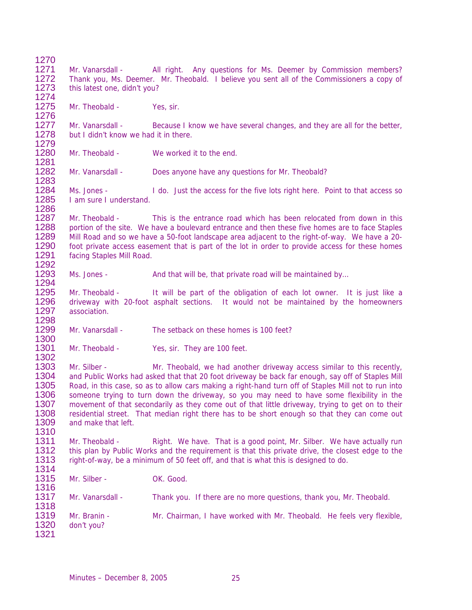| 1270<br>1271                                                 | Mr. Vanarsdall -                                                                                                           | All right. Any questions for Ms. Deemer by Commission members?                                                                                                                                                                                                                                                                                                                                                                                                                                                                                                                       |  |  |  |
|--------------------------------------------------------------|----------------------------------------------------------------------------------------------------------------------------|--------------------------------------------------------------------------------------------------------------------------------------------------------------------------------------------------------------------------------------------------------------------------------------------------------------------------------------------------------------------------------------------------------------------------------------------------------------------------------------------------------------------------------------------------------------------------------------|--|--|--|
| 1272<br>1273<br>1274                                         | Thank you, Ms. Deemer. Mr. Theobald. I believe you sent all of the Commissioners a copy of<br>this latest one, didn't you? |                                                                                                                                                                                                                                                                                                                                                                                                                                                                                                                                                                                      |  |  |  |
| 1275<br>1276                                                 | Mr. Theobald -                                                                                                             | Yes, sir.                                                                                                                                                                                                                                                                                                                                                                                                                                                                                                                                                                            |  |  |  |
| 1277<br>1278<br>1279                                         | Mr. Vanarsdall -<br>but I didn't know we had it in there.                                                                  | Because I know we have several changes, and they are all for the better,                                                                                                                                                                                                                                                                                                                                                                                                                                                                                                             |  |  |  |
| 1280<br>1281                                                 | Mr. Theobald -                                                                                                             | We worked it to the end.                                                                                                                                                                                                                                                                                                                                                                                                                                                                                                                                                             |  |  |  |
| 1282<br>1283                                                 | Mr. Vanarsdall -                                                                                                           | Does anyone have any questions for Mr. Theobald?                                                                                                                                                                                                                                                                                                                                                                                                                                                                                                                                     |  |  |  |
| 1284<br>1285                                                 | Ms. Jones -<br>I am sure I understand.                                                                                     | I do. Just the access for the five lots right here. Point to that access so                                                                                                                                                                                                                                                                                                                                                                                                                                                                                                          |  |  |  |
| 1286<br>1287<br>1288<br>1289<br>1290<br>1291<br>1292         | Mr. Theobald -<br>facing Staples Mill Road.                                                                                | This is the entrance road which has been relocated from down in this<br>portion of the site. We have a boulevard entrance and then these five homes are to face Staples<br>Mill Road and so we have a 50-foot landscape area adjacent to the right-of-way. We have a 20-<br>foot private access easement that is part of the lot in order to provide access for these homes                                                                                                                                                                                                          |  |  |  |
| 1293<br>1294                                                 | Ms. Jones -                                                                                                                | And that will be, that private road will be maintained by                                                                                                                                                                                                                                                                                                                                                                                                                                                                                                                            |  |  |  |
| 1295<br>1296<br>1297<br>1298                                 | Mr. Theobald -<br>association.                                                                                             | It will be part of the obligation of each lot owner. It is just like a<br>driveway with 20-foot asphalt sections. It would not be maintained by the homeowners                                                                                                                                                                                                                                                                                                                                                                                                                       |  |  |  |
| 1299<br>1300                                                 | Mr. Vanarsdall -                                                                                                           | The setback on these homes is 100 feet?                                                                                                                                                                                                                                                                                                                                                                                                                                                                                                                                              |  |  |  |
| 1301<br>1302                                                 | Mr. Theobald -                                                                                                             | Yes, sir. They are 100 feet.                                                                                                                                                                                                                                                                                                                                                                                                                                                                                                                                                         |  |  |  |
| 1303<br>1304<br>1305<br>1306<br>1307<br>1308<br>1309<br>1310 | Mr. Silber -<br>and make that left.                                                                                        | Mr. Theobald, we had another driveway access similar to this recently,<br>and Public Works had asked that that 20 foot driveway be back far enough, say off of Staples Mill<br>Road, in this case, so as to allow cars making a right-hand turn off of Staples Mill not to run into<br>someone trying to turn down the driveway, so you may need to have some flexibility in the<br>movement of that secondarily as they come out of that little driveway, trying to get on to their<br>residential street. That median right there has to be short enough so that they can come out |  |  |  |
| 1311<br>1312<br>1313<br>1314                                 | Mr. Theobald -                                                                                                             | Right. We have. That is a good point, Mr. Silber. We have actually run<br>this plan by Public Works and the requirement is that this private drive, the closest edge to the<br>right-of-way, be a minimum of 50 feet off, and that is what this is designed to do.                                                                                                                                                                                                                                                                                                                   |  |  |  |
| 1315<br>1316                                                 | Mr. Silber -                                                                                                               | OK. Good.                                                                                                                                                                                                                                                                                                                                                                                                                                                                                                                                                                            |  |  |  |
| 1317<br>1318                                                 | Mr. Vanarsdall -                                                                                                           | Thank you. If there are no more questions, thank you, Mr. Theobald.                                                                                                                                                                                                                                                                                                                                                                                                                                                                                                                  |  |  |  |
| 1319<br>1320<br>1321                                         | Mr. Branin -<br>don't you?                                                                                                 | Mr. Chairman, I have worked with Mr. Theobald. He feels very flexible,                                                                                                                                                                                                                                                                                                                                                                                                                                                                                                               |  |  |  |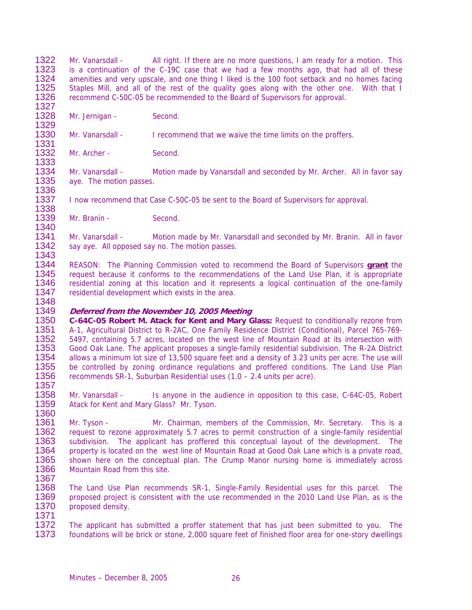1322 Mr. Vanarsdall - All right. If there are no more questions, I am ready for a motion. This<br>1323 is a continuation of the C-19C case that we had a few months ago that had all of these 1323 is a continuation of the C-19C case that we had a few months ago, that had all of these<br>1324 amenities and very upscale, and one thing I liked is the 100 foot setback and no homes facing amenities and very upscale, and one thing I liked is the 100 foot setback and no homes facing 1325 Staples Mill, and all of the rest of the quality goes along with the other one. With that I<br>1326 recommend C-50C-05 be recommended to the Board of Supervisors for approval. recommend C-50C-05 be recommended to the Board of Supervisors for approval.

1327<br>1328 Mr. Jernigan - Second.

1329<br>1330 Mr. Vanarsdall - I recommend that we waive the time limits on the proffers.

1331 1332 Mr. Archer - Second.

1333 1334 Mr. Vanarsdall - Motion made by Vanarsdall and seconded by Mr. Archer. All in favor say 1335 ave. The motion passes. aye. The motion passes.

1336<br>1337 I now recommend that Case C-50C-05 be sent to the Board of Supervisors for approval. 1338

1339 Mr. Branin - Second.

1340 1341 Mr. Vanarsdall - Motion made by Mr. Vanarsdall and seconded by Mr. Branin. All in favor 1342 sav ave. All opposed sav no. The motion passes. say aye. All opposed say no. The motion passes.

1343<br>1344 1344 REASON: The Planning Commission voted to recommend the Board of Supervisors **grant** the request because it conforms to the recommendations of the Land Use Plan, it is appropriate 1346 residential zoning at this location and it represents a logical continuation of the one-family 1347 residential development which exists in the area. residential development which exists in the area.

## 1348 1349 **Deferred from the November 10, 2005 Meeting**

1350 **C-64C-05 Robert M. Atack for Kent and Mary Glass:** Request to conditionally rezone from 1351 A-1, Agricultural District to R-2AC, One Family Residence District (Conditional), Parcel 765-769-<br>1352 5497, containing 5.7 acres, located on the west line of Mountain Road at its intersection with 1352 5497, containing 5.7 acres, located on the west line of Mountain Road at its intersection with<br>1353 Good Oak Lane. The applicant proposes a single-family residential subdivision. The R-2A District 1353 Good Oak Lane. The applicant proposes a single-family residential subdivision. The R-2A District 1354 allows a minimum lot size of 13.500 square feet and a density of 3.23 units per acre. The use will 1354 allows a minimum lot size of 13,500 square feet and a density of 3.23 units per acre. The use will<br>1355 be controlled by zoning ordinance regulations and proffered conditions. The Land Use Plan be controlled by zoning ordinance regulations and proffered conditions. The Land Use Plan 1356 recommends SR-1, Suburban Residential uses (1.0 – 2.4 units per acre).

1357 1358 Mr. Vanarsdall - Is anyone in the audience in opposition to this case, C-64C-05, Robert 1359 Atack for Kent and Mary Glass? Mr. Tyson. Atack for Kent and Mary Glass? Mr. Tyson. 1360

1361 Mr. Tyson - Mr. Chairman, members of the Commission, Mr. Secretary. This is a<br>1362 request to rezone approximately 5.7 acres to permit construction of a single-family residential 1362 request to rezone approximately 5.7 acres to permit construction of a single-family residential<br>1363 subdivision. The applicant has proffered this conceptual lavout of the development. The 1363 subdivision. The applicant has proffered this conceptual layout of the development. The 1364 property is located on the west line of Mountain Road at Good Oak Lane which is a private road 1364 property is located on the west line of Mountain Road at Good Oak Lane which is a private road,<br>1365 shown here on the conceptual plan. The Crump Manor pursing home is immediately across shown here on the conceptual plan. The Crump Manor nursing home is immediately across 1366 Mountain Road from this site.

1367 The Land Use Plan recommends SR-1, Single-Family Residential uses for this parcel. The 1369 proposed project is consistent with the use recommended in the 2010 Land Use Plan, as is the 1370 proposed density. proposed density. 1371

1372 The applicant has submitted a proffer statement that has just been submitted to you. The 1373 foundations will be brick or stone, 2,000 square feet of finished floor area for one-story dwellings foundations will be brick or stone, 2,000 square feet of finished floor area for one-story dwellings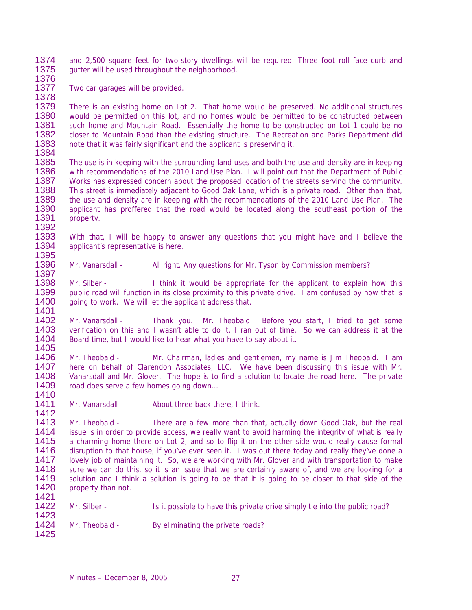1374 and 2,500 square feet for two-story dwellings will be required. Three foot roll face curb and 1375 quitter will be used throughout the neighborhood qutter will be used throughout the neighborhood.

1376

1377 Two car garages will be provided.

1378 1379 There is an existing home on Lot 2. That home would be preserved. No additional structures 1380 would be permitted on this lot, and no homes would be permitted to be constructed between 1380 would be permitted on this lot, and no homes would be permitted to be constructed between<br>1381 such home and Mountain Road. Essentially the home to be constructed on Lot 1 could be no 1381 such home and Mountain Road. Essentially the home to be constructed on Lot 1 could be no<br>1382 closer to Mountain Road than the existing structure. The Recreation and Parks Department did 1382 closer to Mountain Road than the existing structure. The Recreation and Parks Department did<br>1383 note that it was fairly significant and the applicant is preserving it. note that it was fairly significant and the applicant is preserving it.

1384

1397

- 1385 The use is in keeping with the surrounding land uses and both the use and density are in keeping<br>1386 With recommendations of the 2010 Land Use Plan. I will point out that the Department of Public 1386 with recommendations of the 2010 Land Use Plan. I will point out that the Department of Public<br>1387 Works has expressed concern about the proposed location of the streets serving the community. 1387 Works has expressed concern about the proposed location of the streets serving the community.<br>1388 This street is immediately adjacent to Good Oak Lane, which is a private road. Other than that, This street is immediately adjacent to Good Oak Lane, which is a private road. Other than that, 1389 the use and density are in keeping with the recommendations of the 2010 Land Use Plan. The 1390 applicant has proffered that the road would be located along the southeast portion of the applicant has proffered that the road would be located along the southeast portion of the 1391 property.
- 1392 1393 With that, I will be happy to answer any questions that you might have and I believe the 1394 applicant's representative is here. applicant's representative is here.
- 1395<br>1396 Mr. Vanarsdall - All right. Any questions for Mr. Tyson by Commission members?

1398 Mr. Silber - I think it would be appropriate for the applicant to explain how this 1399 public road will function in its close proximity to this private drive. I am confused by how that is 1399 public road will function in its close proximity to this private drive. I am confused by how that is 1400 oing to work. We will let the applicant address that. going to work. We will let the applicant address that. 1401

1402 Mr. Vanarsdall - Thank you. Mr. Theobald. Before you start, I tried to get some 1403 verification on this and I wasn't able to do it. I ran out of time. So we can address it at the 1403 verification on this and I wasn't able to do it. I ran out of time. So we can address it at the 1404 Board time, but I would like to hear what you have to say about it. Board time, but I would like to hear what you have to say about it.

1405<br>1406 1406 Mr. Theobald - Mr. Chairman, ladies and gentlemen, my name is Jim Theobald. I am<br>1407 here on behalf of Clarendon Associates. LLC. We have been discussing this issue with Mr. here on behalf of Clarendon Associates, LLC. We have been discussing this issue with Mr. 1408 Vanarsdall and Mr. Glover. The hope is to find a solution to locate the road here. The private 1409 road does serve a few homes going down... road does serve a few homes going down... 1410

1411 Mr. Vanarsdall - About three back there, I think.

1413 Mr. Theobald - There are a few more than that, actually down Good Oak, but the real<br>1414 issue is in order to provide access, we really want to avoid harming the integrity of what is really 1414 issue is in order to provide access, we really want to avoid harming the integrity of what is really<br>1415 a charming home there on Lot 2, and so to flip it on the other side would really cause formal 1415 a charming home there on Lot 2, and so to flip it on the other side would really cause formal<br>1416 discuption to that house if you've ever seen it. I was out there today and really they've done a 1416 disruption to that house, if you've ever seen it. I was out there today and really they've done a<br>1417 lovely job of maintaining it. So, we are working with Mr. Glover and with transportation to make lovely job of maintaining it. So, we are working with Mr. Glover and with transportation to make 1418 sure we can do this, so it is an issue that we are certainly aware of, and we are looking for a<br>1419 solution and I think a solution is going to be that it is going to be closer to that side of the 1419 solution and I think a solution is going to be that it is going to be closer to that side of the 1420 property than not. property than not. 1421

1422 Mr. Silber - Is it possible to have this private drive simply tie into the public road? 1423

1424 Mr. Theobald - By eliminating the private roads?

1425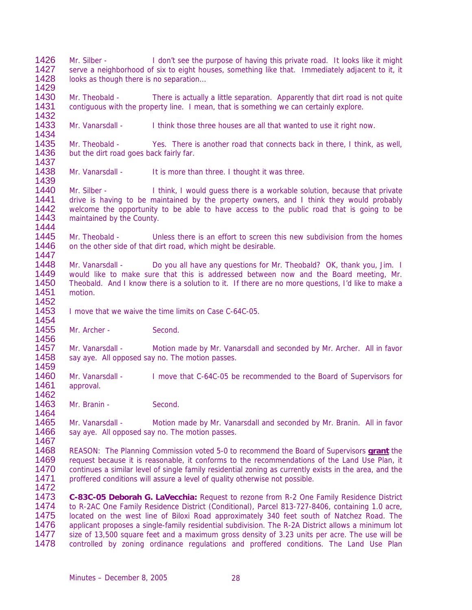- 1426 Mr. Silber I don't see the purpose of having this private road. It looks like it might<br>1427 Serve a neighborhood of six to eight houses something like that Immediately adjacent to it it 1427 serve a neighborhood of six to eight houses, something like that. Immediately adjacent to it, it 1428 looks as though there is no separation... looks as though there is no separation...
- 1429 1430 Mr. Theobald - There is actually a little separation. Apparently that dirt road is not quite 1431 contiquous with the property line. I mean, that is something we can certainly explore. contiguous with the property line. I mean, that is something we can certainly explore.
- 1432<br>1433 Mr. Vanarsdall - I think those three houses are all that wanted to use it right now.
- 1434<br>1435 1435 Mr. Theobald - Yes. There is another road that connects back in there, I think, as well, 1436 but the dirt road goes back fairly far. but the dirt road goes back fairly far.
- 1437<br>1438 Mr. Vanarsdall - It is more than three. I thought it was three.
- 1439 Mr. Silber - I think, I would guess there is a workable solution, because that private 1441 drive is having to be maintained by the property owners, and I think they would probably 1442 welcome the opportunity to be able to have access to the public road that is going to be welcome the opportunity to be able to have access to the public road that is going to be 1443 maintained by the County.
- 1444 1445 Mr. Theobald - Unless there is an effort to screen this new subdivision from the homes<br>1446 on the other side of that dirt road, which might be desirable. on the other side of that dirt road, which might be desirable.
- 1447 1448 Mr. Vanarsdall - Do you all have any questions for Mr. Theobald? OK, thank you, Jim. I<br>1449 would like to make sure that this is addressed between now and the Board meeting. Mr. would like to make sure that this is addressed between now and the Board meeting, Mr. 1450 Theobald. And I know there is a solution to it. If there are no more questions, I'd like to make a 1451 motion. motion.
- 1453 I move that we waive the time limits on Case C-64C-05.
- 1454<br>1455 Mr. Archer - Second.

1452

1459

1462

- 1456<br>1457 1457 Mr. Vanarsdall - Motion made by Mr. Vanarsdall and seconded by Mr. Archer. All in favor 1458 say ave All opposed say no The motion passes say aye. All opposed say no. The motion passes.
- 1460 Mr. Vanarsdall I move that C-64C-05 be recommended to the Board of Supervisors for 1461 approval. approval.
- 1463 Mr. Branin Second.
- 1465 Mr. Vanarsdall Motion made by Mr. Vanarsdall and seconded by Mr. Branin. All in favor 1466 sav ave. All opposed sav no. The motion passes. say aye. All opposed say no. The motion passes.
- 1467 1468 REASON: The Planning Commission voted 5-0 to recommend the Board of Supervisors **grant** the 1469 request because it is reasonable, it conforms to the recommendations of the Land Use Plan, it 1470 continues a similar level of single family residential zoning as currently exists in the area, and the 1471 proffered conditions will assure a level of quality otherwise not possible. proffered conditions will assure a level of quality otherwise not possible. 1472
- 1473 **C-83C-05 Deborah G. LaVecchia:** Request to rezone from R-2 One Family Residence District 1474 to R-2AC One Family Residence District (Conditional), Parcel 813-727-8406, containing 1.0 acre, 1475 located on the west line of Biloxi Road approximately 340 feet south of Natchez Road. The 1476 applicant proposes a single-family residential subdivision. The R-2A District allows a minimum lot 1477 size of 13.500 square feet and a maximum gross density of 3.23 units per acre. The use will be 1477 size of 13,500 square feet and a maximum gross density of 3.23 units per acre. The use will be<br>1478 controlled by zoning ordinance regulations and proffered conditions. The Land Use Plan controlled by zoning ordinance regulations and proffered conditions. The Land Use Plan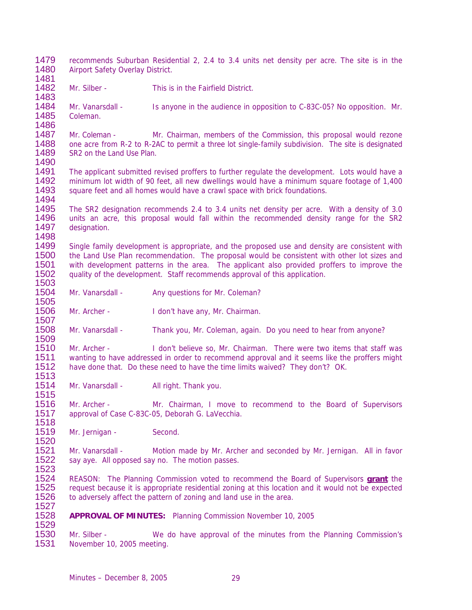- 1479 recommends Suburban Residential 2, 2.4 to 3.4 units net density per acre. The site is in the 1480 Airport Safety Overlay District Airport Safety Overlay District. 1481
- 1482 Mr. Silber This is in the Fairfield District. 1483
- 1484 Mr. Vanarsdall Is anyone in the audience in opposition to C-83C-05? No opposition. Mr. 1485 Coleman.

1486 1487 Mr. Coleman - Mr. Chairman, members of the Commission, this proposal would rezone<br>1488 one acre from R-2 to R-2AC to permit a three lot single-family subdivision. The site is designated 1488 one acre from R-2 to R-2AC to permit a three lot single-family subdivision. The site is designated 1489 SR2 on the Land Use Plan. SR2 on the Land Use Plan.

- 1490 The applicant submitted revised proffers to further regulate the development. Lots would have a 1492 minimum lot width of 90 feet, all new dwellings would have a minimum square footage of 1,400<br>1493 square feet and all homes would have a crawl space with brick foundations. square feet and all homes would have a crawl space with brick foundations.
- 1494<br>1495 The SR2 designation recommends 2.4 to 3.4 units net density per acre. With a density of 3.0 1496 units an acre, this proposal would fall within the recommended density range for the SR2 1497 designation.

1498 1499 Single family development is appropriate, and the proposed use and density are consistent with<br>1500 the Land Use Plan recommendation. The proposal would be consistent with other lot sizes and 1500 the Land Use Plan recommendation. The proposal would be consistent with other lot sizes and 1501 with development patterns in the area. The applicant also provided proffers to improve the with development patterns in the area. The applicant also provided proffers to improve the 1502 quality of the development. Staff recommends approval of this application.

1503 Mr. Vanarsdall - Any questions for Mr. Coleman?

1506 Mr. Archer - I don't have any, Mr. Chairman.

1507<br>1508 Mr. Vanarsdall - Thank you, Mr. Coleman, again. Do you need to hear from anyone?

1509<br>1510 1510 Mr. Archer - I don't believe so, Mr. Chairman. There were two items that staff was<br>1511 wanting to have addressed in order to recommend approval and it seems like the proffers might 1511 wanting to have addressed in order to recommend approval and it seems like the proffers might 1512 have done that. Do these need to have the time limits waived? They don't? OK. have done that. Do these need to have the time limits waived? They don't? OK.

1513 Mr. Vanarsdall - All right. Thank you.

1516 Mr. Archer - Mr. Chairman, I move to recommend to the Board of Supervisors 1517 approval of Case C-83C-05, Deborah G. LaVecchia.

1518 Mr. Jernigan - Second.

1505

1515

1527

1520 1521 Mr. Vanarsdall - Motion made by Mr. Archer and seconded by Mr. Jernigan. All in favor 1522 say ave All opposed say no The motion passes say aye. All opposed say no. The motion passes.

1523 1524 REASON: The Planning Commission voted to recommend the Board of Supervisors **grant** the request because it is appropriate residential zoning at this location and it would not be expected 1526 to adversely affect the pattern of zoning and land use in the area.

1528 **APPROVAL OF MINUTES:** Planning Commission November 10, 2005

1529 1530 Mr. Silber - We do have approval of the minutes from the Planning Commission's 1531 November 10, 2005 meeting. November 10, 2005 meeting.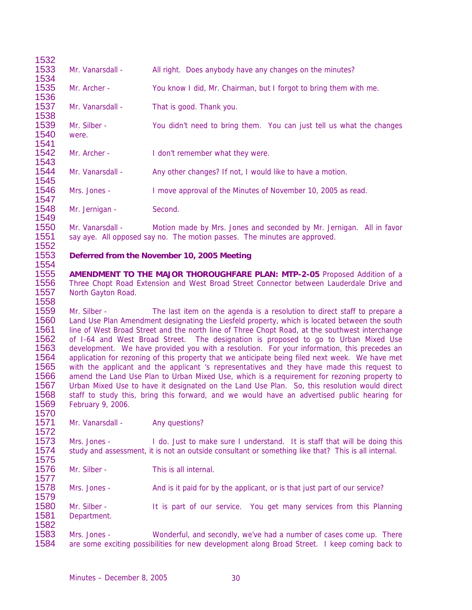| Mr. Vanarsdall -                                                      | All right. Does anybody have any changes on the minutes?                                                                                                                                                                                                                                                                                                                                                                                                                                                                                                                                                                                                                                                                                                                                                                                                                                                                                                                                                                                                                                                                                                                                                                    |
|-----------------------------------------------------------------------|-----------------------------------------------------------------------------------------------------------------------------------------------------------------------------------------------------------------------------------------------------------------------------------------------------------------------------------------------------------------------------------------------------------------------------------------------------------------------------------------------------------------------------------------------------------------------------------------------------------------------------------------------------------------------------------------------------------------------------------------------------------------------------------------------------------------------------------------------------------------------------------------------------------------------------------------------------------------------------------------------------------------------------------------------------------------------------------------------------------------------------------------------------------------------------------------------------------------------------|
| Mr. Archer -                                                          | You know I did, Mr. Chairman, but I forgot to bring them with me.                                                                                                                                                                                                                                                                                                                                                                                                                                                                                                                                                                                                                                                                                                                                                                                                                                                                                                                                                                                                                                                                                                                                                           |
| Mr. Vanarsdall -                                                      | That is good. Thank you.                                                                                                                                                                                                                                                                                                                                                                                                                                                                                                                                                                                                                                                                                                                                                                                                                                                                                                                                                                                                                                                                                                                                                                                                    |
| Mr. Silber -<br>were.                                                 | You didn't need to bring them. You can just tell us what the changes                                                                                                                                                                                                                                                                                                                                                                                                                                                                                                                                                                                                                                                                                                                                                                                                                                                                                                                                                                                                                                                                                                                                                        |
| Mr. Archer -                                                          | I don't remember what they were.                                                                                                                                                                                                                                                                                                                                                                                                                                                                                                                                                                                                                                                                                                                                                                                                                                                                                                                                                                                                                                                                                                                                                                                            |
| Mr. Vanarsdall -                                                      | Any other changes? If not, I would like to have a motion.                                                                                                                                                                                                                                                                                                                                                                                                                                                                                                                                                                                                                                                                                                                                                                                                                                                                                                                                                                                                                                                                                                                                                                   |
| Mrs. Jones -                                                          | I move approval of the Minutes of November 10, 2005 as read.                                                                                                                                                                                                                                                                                                                                                                                                                                                                                                                                                                                                                                                                                                                                                                                                                                                                                                                                                                                                                                                                                                                                                                |
| Mr. Jernigan -                                                        | Second.                                                                                                                                                                                                                                                                                                                                                                                                                                                                                                                                                                                                                                                                                                                                                                                                                                                                                                                                                                                                                                                                                                                                                                                                                     |
| Mr. Vanarsdall -                                                      | Motion made by Mrs. Jones and seconded by Mr. Jernigan. All in favor<br>say aye. All opposed say no. The motion passes. The minutes are approved.                                                                                                                                                                                                                                                                                                                                                                                                                                                                                                                                                                                                                                                                                                                                                                                                                                                                                                                                                                                                                                                                           |
|                                                                       | Deferred from the November 10, 2005 Meeting                                                                                                                                                                                                                                                                                                                                                                                                                                                                                                                                                                                                                                                                                                                                                                                                                                                                                                                                                                                                                                                                                                                                                                                 |
|                                                                       |                                                                                                                                                                                                                                                                                                                                                                                                                                                                                                                                                                                                                                                                                                                                                                                                                                                                                                                                                                                                                                                                                                                                                                                                                             |
|                                                                       |                                                                                                                                                                                                                                                                                                                                                                                                                                                                                                                                                                                                                                                                                                                                                                                                                                                                                                                                                                                                                                                                                                                                                                                                                             |
|                                                                       |                                                                                                                                                                                                                                                                                                                                                                                                                                                                                                                                                                                                                                                                                                                                                                                                                                                                                                                                                                                                                                                                                                                                                                                                                             |
|                                                                       | Any questions?                                                                                                                                                                                                                                                                                                                                                                                                                                                                                                                                                                                                                                                                                                                                                                                                                                                                                                                                                                                                                                                                                                                                                                                                              |
| Mr. Silber -<br>February 9, 2006.<br>Mr. Vanarsdall -<br>Mrs. Jones - |                                                                                                                                                                                                                                                                                                                                                                                                                                                                                                                                                                                                                                                                                                                                                                                                                                                                                                                                                                                                                                                                                                                                                                                                                             |
| Mr. Silber -                                                          | This is all internal.                                                                                                                                                                                                                                                                                                                                                                                                                                                                                                                                                                                                                                                                                                                                                                                                                                                                                                                                                                                                                                                                                                                                                                                                       |
| Mrs. Jones -                                                          | And is it paid for by the applicant, or is that just part of our service?                                                                                                                                                                                                                                                                                                                                                                                                                                                                                                                                                                                                                                                                                                                                                                                                                                                                                                                                                                                                                                                                                                                                                   |
| Mr. Silber -<br>Department.                                           | The last item on the agenda is a resolution to direct staff to prepare a<br>Land Use Plan Amendment designating the Liesfeld property, which is located between the south<br>line of West Broad Street and the north line of Three Chopt Road, at the southwest interchange<br>of I-64 and West Broad Street. The designation is proposed to go to Urban Mixed Use<br>development. We have provided you with a resolution. For your information, this precedes an<br>application for rezoning of this property that we anticipate being filed next week. We have met<br>with the applicant and the applicant 's representatives and they have made this request to<br>amend the Land Use Plan to Urban Mixed Use, which is a requirement for rezoning property to<br>Urban Mixed Use to have it designated on the Land Use Plan. So, this resolution would direct<br>staff to study this, bring this forward, and we would have an advertised public hearing for<br>I do. Just to make sure I understand. It is staff that will be doing this<br>study and assessment, it is not an outside consultant or something like that? This is all internal.<br>It is part of our service. You get many services from this Planning |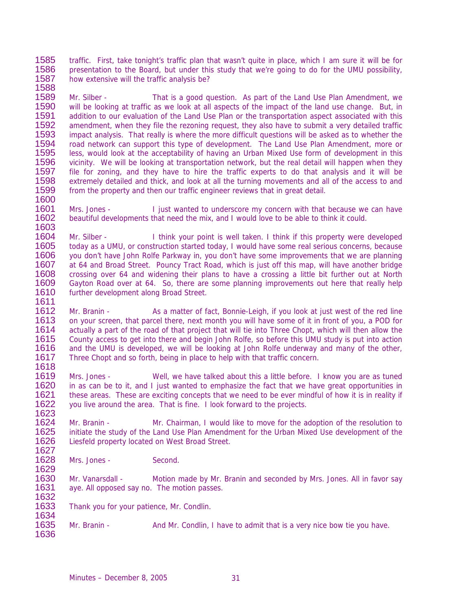1585 traffic. First, take tonight's traffic plan that wasn't quite in place, which I am sure it will be for<br>1586 presentation to the Board but under this study that we're going to do for the UMU possibility 1586 presentation to the Board, but under this study that we're going to do for the UMU possibility, 1587 how extensive will the traffic analysis be? how extensive will the traffic analysis be?

1588 1589 Mr. Silber - That is a good question. As part of the Land Use Plan Amendment, we<br>1590 will be looking at traffic as we look at all aspects of the impact of the land use change. But, in 1590 will be looking at traffic as we look at all aspects of the impact of the land use change. But, in 1591 addition to our evaluation of the Land Use Plan or the transportation aspect associated with this 1591 addition to our evaluation of the Land Use Plan or the transportation aspect associated with this<br>1592 amendment, when they file the rezoning request, they also have to submit a very detailed traffic 1592 amendment, when they file the rezoning request, they also have to submit a very detailed traffic<br>1593 impact analysis. That really is where the more difficult questions will be asked as to whether the 1593 impact analysis. That really is where the more difficult questions will be asked as to whether the 1594 road network can support this type of development. The Land Use Plan Amendment, more or 1594 road network can support this type of development. The Land Use Plan Amendment, more or<br>1595 less, would look at the acceptability of having an Urban Mixed Use form of development in this 1595 less, would look at the acceptability of having an Urban Mixed Use form of development in this<br>1596 vicinity. We will be looking at transportation network, but the real detail will happen when they 1596 vicinity. We will be looking at transportation network, but the real detail will happen when they<br>1597 file for zoning, and they have to hire the traffic experts to do that analysis and it will be file for zoning, and they have to hire the traffic experts to do that analysis and it will be 1598 extremely detailed and thick, and look at all the turning movements and all of the access to and 1599 from the property and then our traffic engineer reviews that in great detail. from the property and then our traffic engineer reviews that in great detail.

1600<br>1601 Mrs. Jones - I just wanted to underscore my concern with that because we can have 1602 beautiful developments that need the mix, and I would love to be able to think it could.

1603 1604 Mr. Silber - I think your point is well taken. I think if this property were developed<br>1605 today as a UMU, or construction started today, I would have some real serious concerns, because 1605 today as a UMU, or construction started today, I would have some real serious concerns, because<br>1606 vou don't have John Rolfe Parkway in, you don't have some improvements that we are planning 1606 you don't have John Rolfe Parkway in, you don't have some improvements that we are planning<br>1607 at 64 and Broad Street Pouncy Tract Road, which is just off this map will have another bridge at 64 and Broad Street. Pouncy Tract Road, which is just off this map, will have another bridge 1608 crossing over 64 and widening their plans to have a crossing a little bit further out at North 1609 Gayton Road over at 64. So, there are some planning improvements out here that really help 1610 further development along Broad Street. further development along Broad Street.

1611<br>1612 Mr. Branin - As a matter of fact, Bonnie-Leigh, if you look at just west of the red line 1613 on your screen, that parcel there, next month you will have some of it in front of you, a POD for<br>1614 actually a part of the road of that project that will tie into Three Chopt, which will then allow the 1614 actually a part of the road of that project that will tie into Three Chopt, which will then allow the 1615 County access to get into there and begin John Rolfe, so before this UMU study is put into action 1615 County access to get into there and begin John Rolfe, so before this UMU study is put into action<br>1616 and the UMU is developed, we will be looking at John Rolfe underway and many of the other. 1616 and the UMU is developed, we will be looking at John Rolfe underway and many of the other, 1617 Three Chopt and so forth being in place to help with that traffic concern Three Chopt and so forth, being in place to help with that traffic concern.

1618<br>1619 1619 Mrs. Jones - Well, we have talked about this a little before. I know you are as tuned<br>1620 in as can be to it, and I just wanted to emphasize the fact that we have great opportunities in 1620 in as can be to it, and I just wanted to emphasize the fact that we have great opportunities in 1621 these areas. These are exciting concepts that we need to be ever mindful of how it is in reality if 1621 these areas. These are exciting concepts that we need to be ever mindful of how it is in reality if 1622 vou live around the area. That is fine. I look forward to the projects. you live around the area. That is fine. I look forward to the projects.

1623 1624 Mr. Branin - Mr. Chairman, I would like to move for the adoption of the resolution to<br>1625 initiate the study of the Land Use Plan Amendment for the Urban Mixed Use development of the 1625 initiate the study of the Land Use Plan Amendment for the Urban Mixed Use development of the 1626 Liesfeld property located on West Broad Street. Liesfeld property located on West Broad Street.

1627<br>1628 Mrs. Jones - Second.

1629<br>1630 1630 Mr. Vanarsdall - Motion made by Mr. Branin and seconded by Mrs. Jones. All in favor say 1631 ave. All opposed say no. The motion passes. aye. All opposed say no. The motion passes.

1632<br>1633 Thank you for your patience, Mr. Condlin.

1634<br>1635 Mr. Branin - And Mr. Condlin, I have to admit that is a very nice bow tie you have. 1636